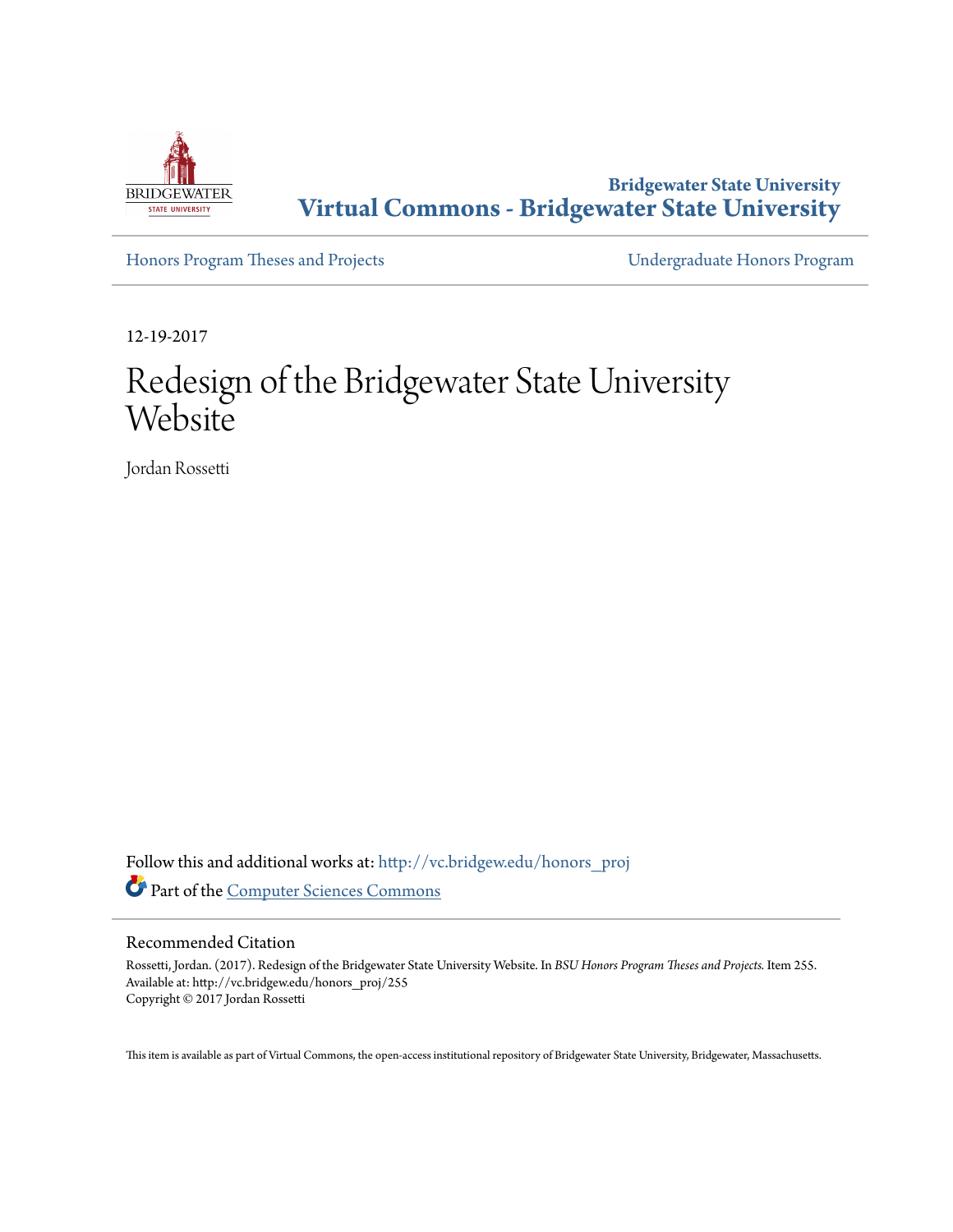

**Bridgewater State University [Virtual Commons - Bridgewater State University](http://vc.bridgew.edu?utm_source=vc.bridgew.edu%2Fhonors_proj%2F255&utm_medium=PDF&utm_campaign=PDFCoverPages)**

[Honors Program Theses and Projects](http://vc.bridgew.edu/honors_proj?utm_source=vc.bridgew.edu%2Fhonors_proj%2F255&utm_medium=PDF&utm_campaign=PDFCoverPages) [Undergraduate Honors Program](http://vc.bridgew.edu/honors?utm_source=vc.bridgew.edu%2Fhonors_proj%2F255&utm_medium=PDF&utm_campaign=PDFCoverPages)

12-19-2017

# Redesign of the Bridgewater State University Website

Jordan Rossetti

Follow this and additional works at: [http://vc.bridgew.edu/honors\\_proj](http://vc.bridgew.edu/honors_proj?utm_source=vc.bridgew.edu%2Fhonors_proj%2F255&utm_medium=PDF&utm_campaign=PDFCoverPages) Part of the [Computer Sciences Commons](http://network.bepress.com/hgg/discipline/142?utm_source=vc.bridgew.edu%2Fhonors_proj%2F255&utm_medium=PDF&utm_campaign=PDFCoverPages)

#### Recommended Citation

Rossetti, Jordan. (2017). Redesign of the Bridgewater State University Website. In *BSU Honors Program Theses and Projects.* Item 255. Available at: http://vc.bridgew.edu/honors\_proj/255 Copyright © 2017 Jordan Rossetti

This item is available as part of Virtual Commons, the open-access institutional repository of Bridgewater State University, Bridgewater, Massachusetts.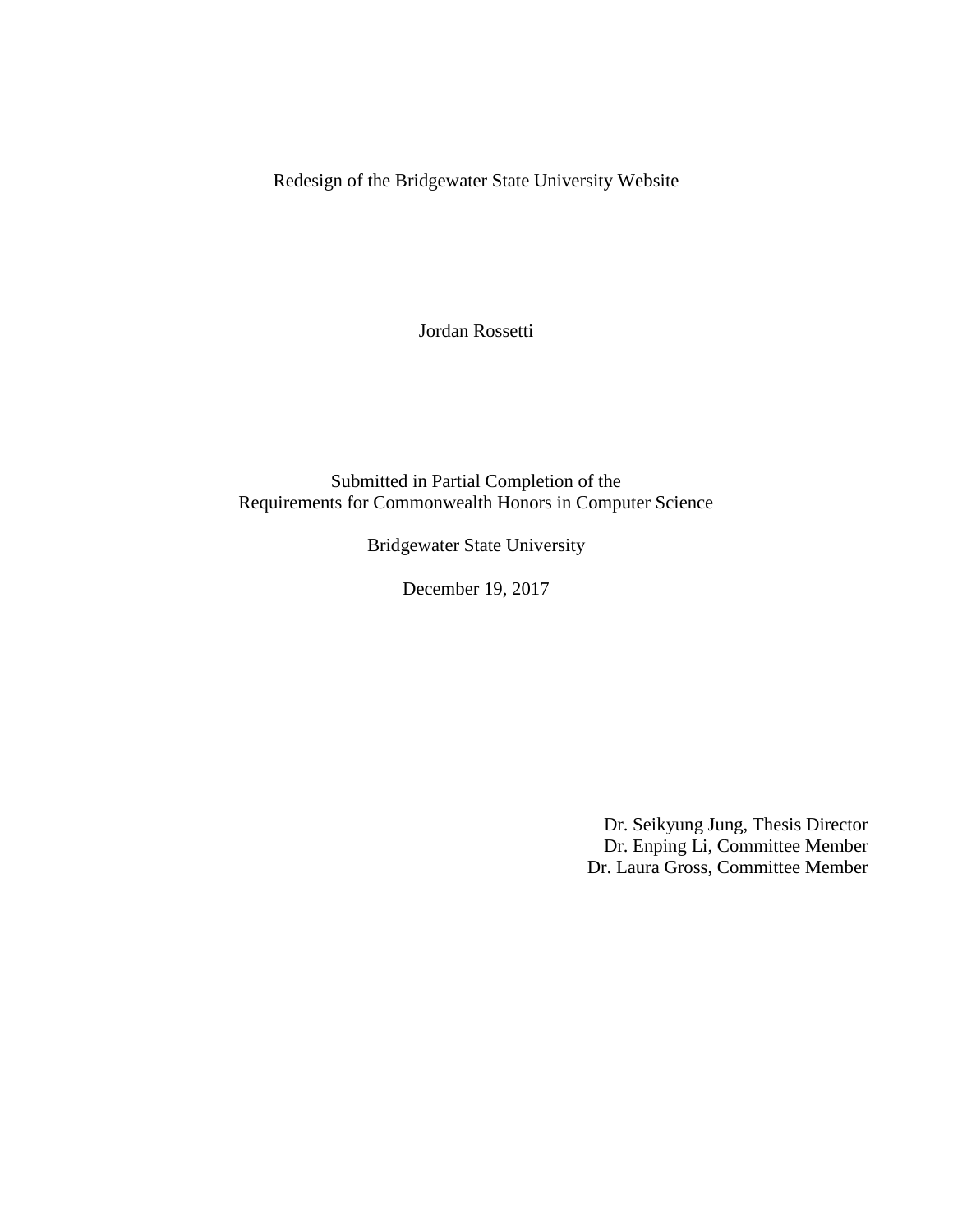Redesign of the Bridgewater State University Website

Jordan Rossetti

Submitted in Partial Completion of the Requirements for Commonwealth Honors in Computer Science

Bridgewater State University

December 19, 2017

Dr. Seikyung Jung, Thesis Director Dr. Enping Li, Committee Member Dr. Laura Gross, Committee Member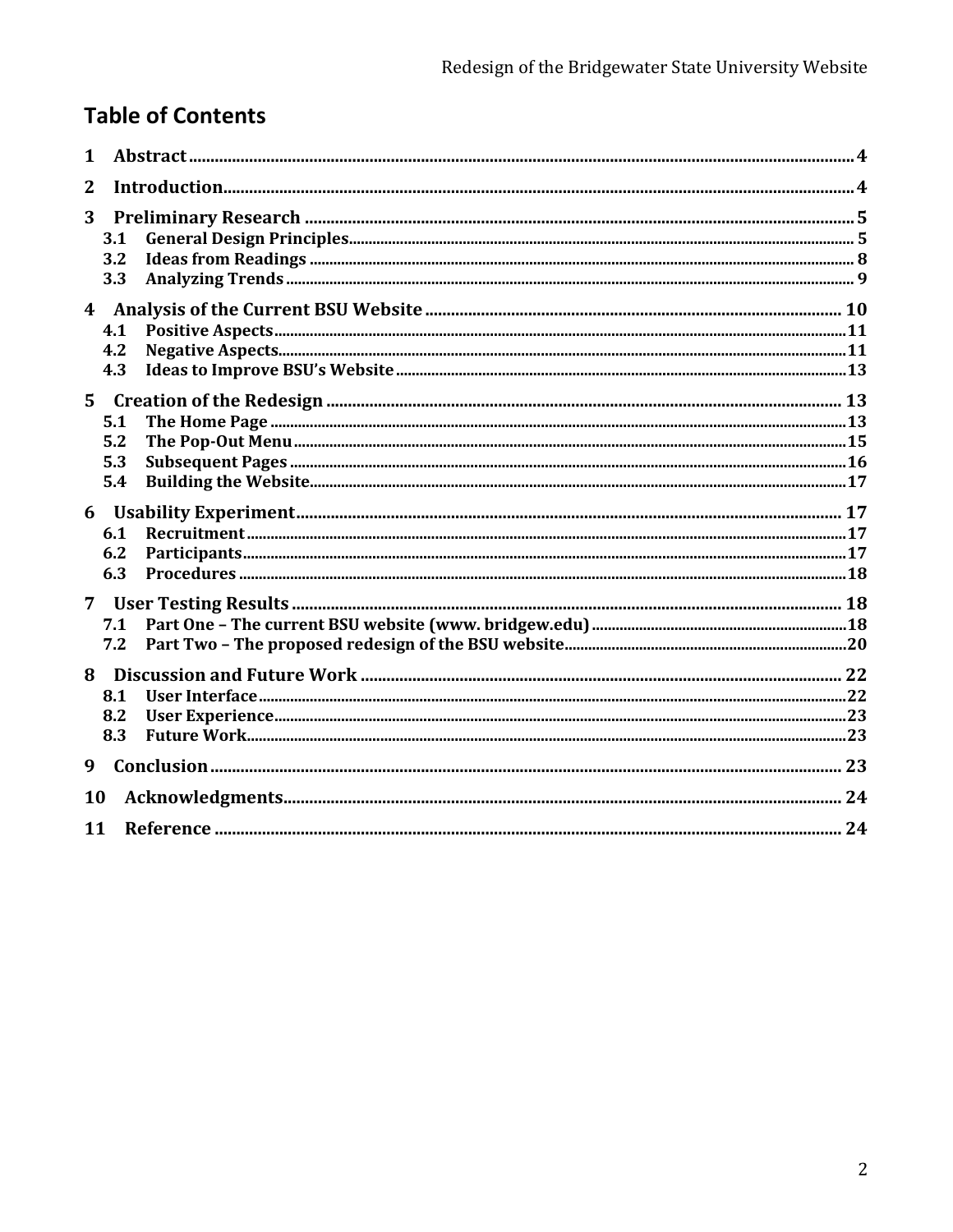## **Table of Contents**

| 1              |                          |  |  |  |  |
|----------------|--------------------------|--|--|--|--|
| $\overline{2}$ |                          |  |  |  |  |
| 3              | 3.1<br>3.2<br>3.3        |  |  |  |  |
|                | 4.1<br>4.2<br>4.3        |  |  |  |  |
| $5^{\circ}$    | 5.1<br>5.2<br>5.3<br>5.4 |  |  |  |  |
| 6              | 6.1<br>6.2<br>6.3        |  |  |  |  |
| $\overline{7}$ | 7.1<br>7.2               |  |  |  |  |
| 8              | 8.1<br>8.2<br>8.3        |  |  |  |  |
| 9              |                          |  |  |  |  |
|                | 10                       |  |  |  |  |
|                | 11                       |  |  |  |  |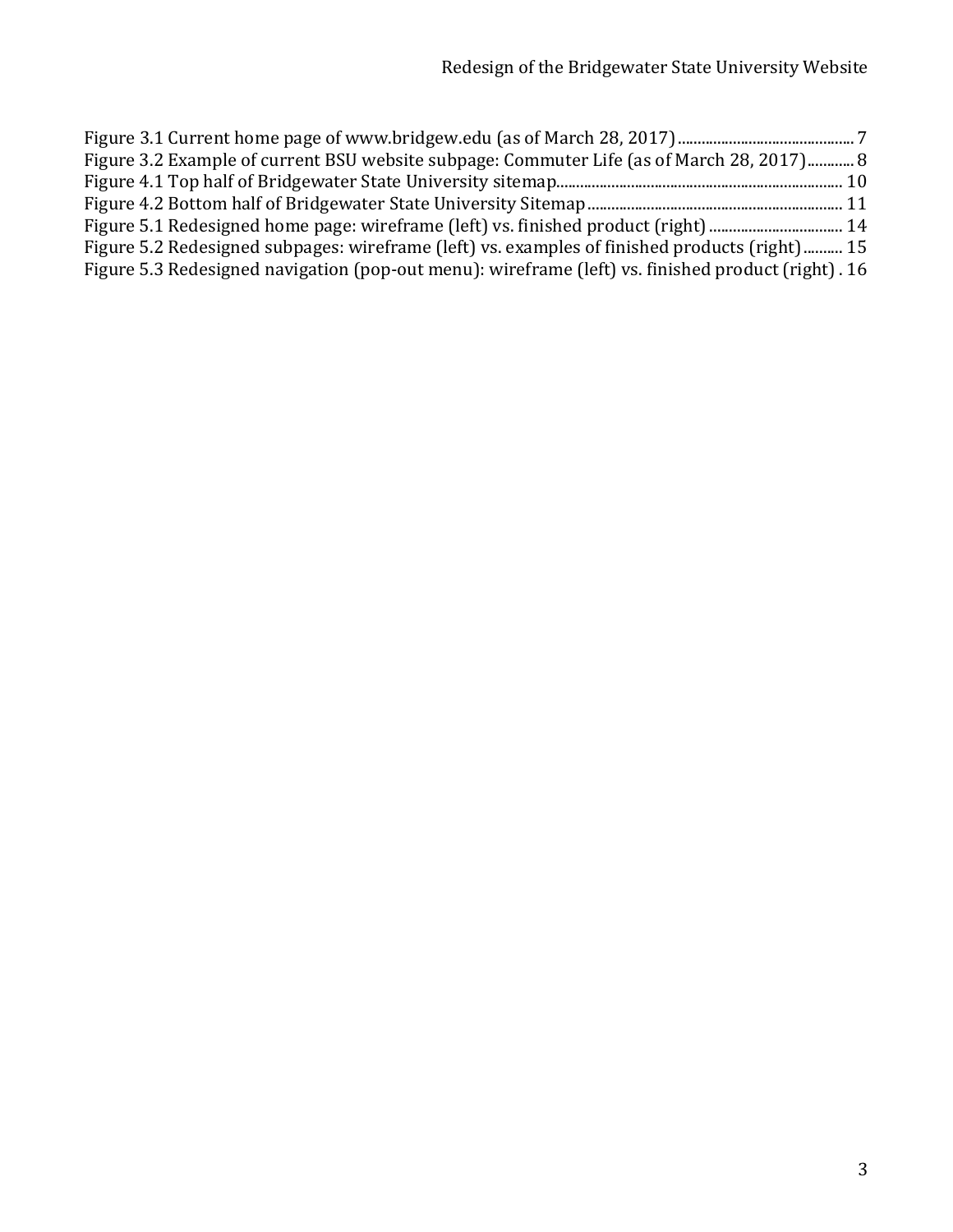| Figure 3.2 Example of current BSU website subpage: Commuter Life (as of March 28, 2017) 8          |  |
|----------------------------------------------------------------------------------------------------|--|
|                                                                                                    |  |
|                                                                                                    |  |
| Figure 5.1 Redesigned home page: wireframe (left) vs. finished product (right)  14                 |  |
| Figure 5.2 Redesigned subpages: wireframe (left) vs. examples of finished products (right) 15      |  |
| Figure 5.3 Redesigned navigation (pop-out menu): wireframe (left) vs. finished product (right). 16 |  |
|                                                                                                    |  |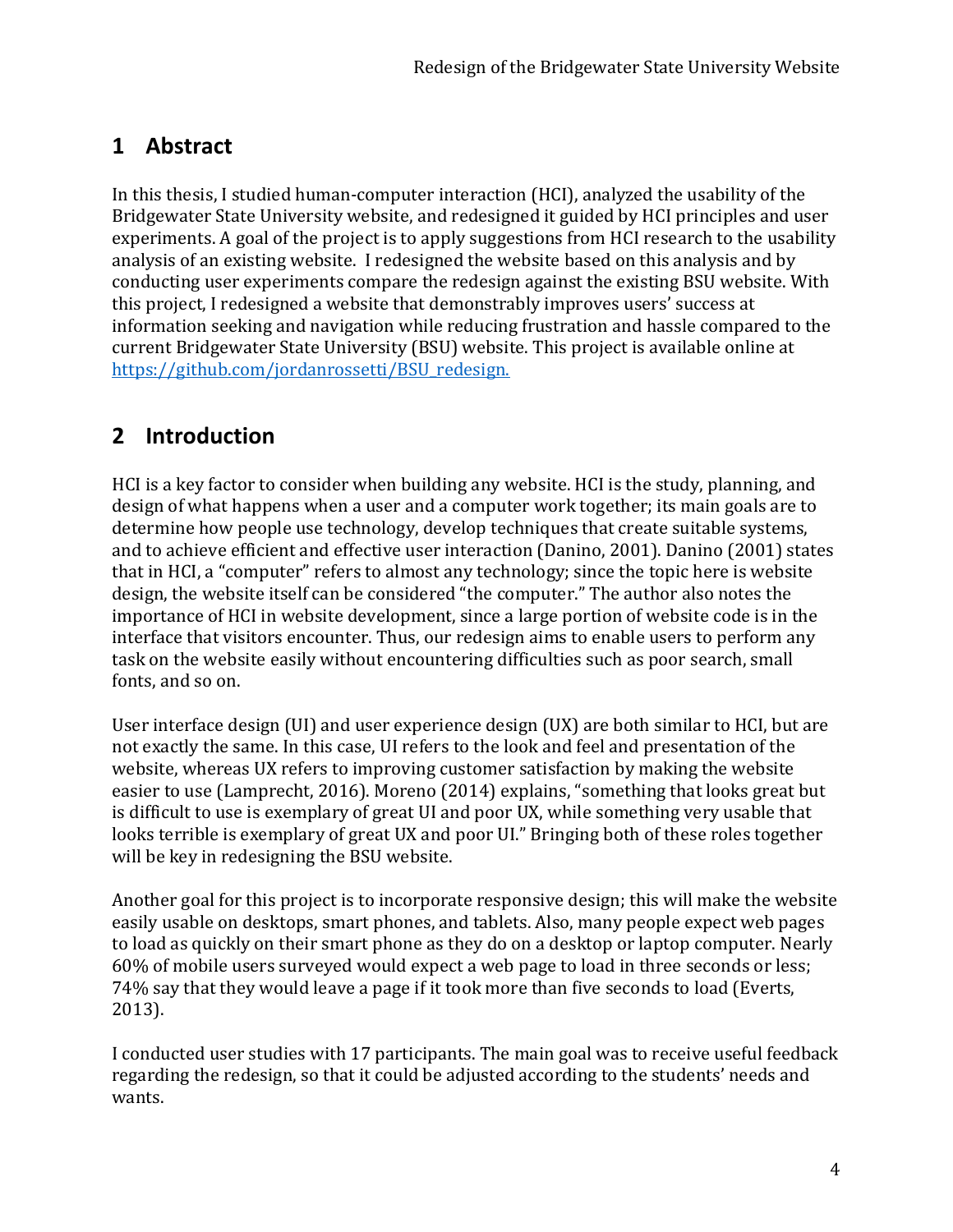## **1 Abstract**

In this thesis, I studied human-computer interaction (HCI), analyzed the usability of the Bridgewater State University website, and redesigned it guided by HCI principles and user experiments. A goal of the project is to apply suggestions from HCI research to the usability analysis of an existing website. I redesigned the website based on this analysis and by conducting user experiments compare the redesign against the existing BSU website. With this project, I redesigned a website that demonstrably improves users' success at information seeking and navigation while reducing frustration and hassle compared to the current Bridgewater State University (BSU) website. This project is available online at [https://github.com/jordanrossetti/BSU\\_redesign.](https://github.com/jordanrossetti/BSU_redesign)

## **2 Introduction**

HCI is a key factor to consider when building any website. HCI is the study, planning, and design of what happens when a user and a computer work together; its main goals are to determine how people use technology, develop techniques that create suitable systems, and to achieve efficient and effective user interaction (Danino, 2001). Danino (2001) states that in HCI, a "computer" refers to almost any technology; since the topic here is website design, the website itself can be considered "the computer." The author also notes the importance of HCI in website development, since a large portion of website code is in the interface that visitors encounter. Thus, our redesign aims to enable users to perform any task on the website easily without encountering difficulties such as poor search, small fonts, and so on.

User interface design (UI) and user experience design (UX) are both similar to HCI, but are not exactly the same. In this case, UI refers to the look and feel and presentation of the website, whereas UX refers to improving customer satisfaction by making the website easier to use (Lamprecht, 2016). Moreno (2014) explains, "something that looks great but is difficult to use is exemplary of great UI and poor UX, while something very usable that looks terrible is exemplary of great UX and poor UI." Bringing both of these roles together will be key in redesigning the BSU website.

Another goal for this project is to incorporate responsive design; this will make the website easily usable on desktops, smart phones, and tablets. Also, many people expect web pages to load as quickly on their smart phone as they do on a desktop or laptop computer. Nearly 60% of mobile users surveyed would expect a web page to load in three seconds or less; 74% say that they would leave a page if it took more than five seconds to load (Everts, 2013).

I conducted user studies with 17 participants. The main goal was to receive useful feedback regarding the redesign, so that it could be adjusted according to the students' needs and wants.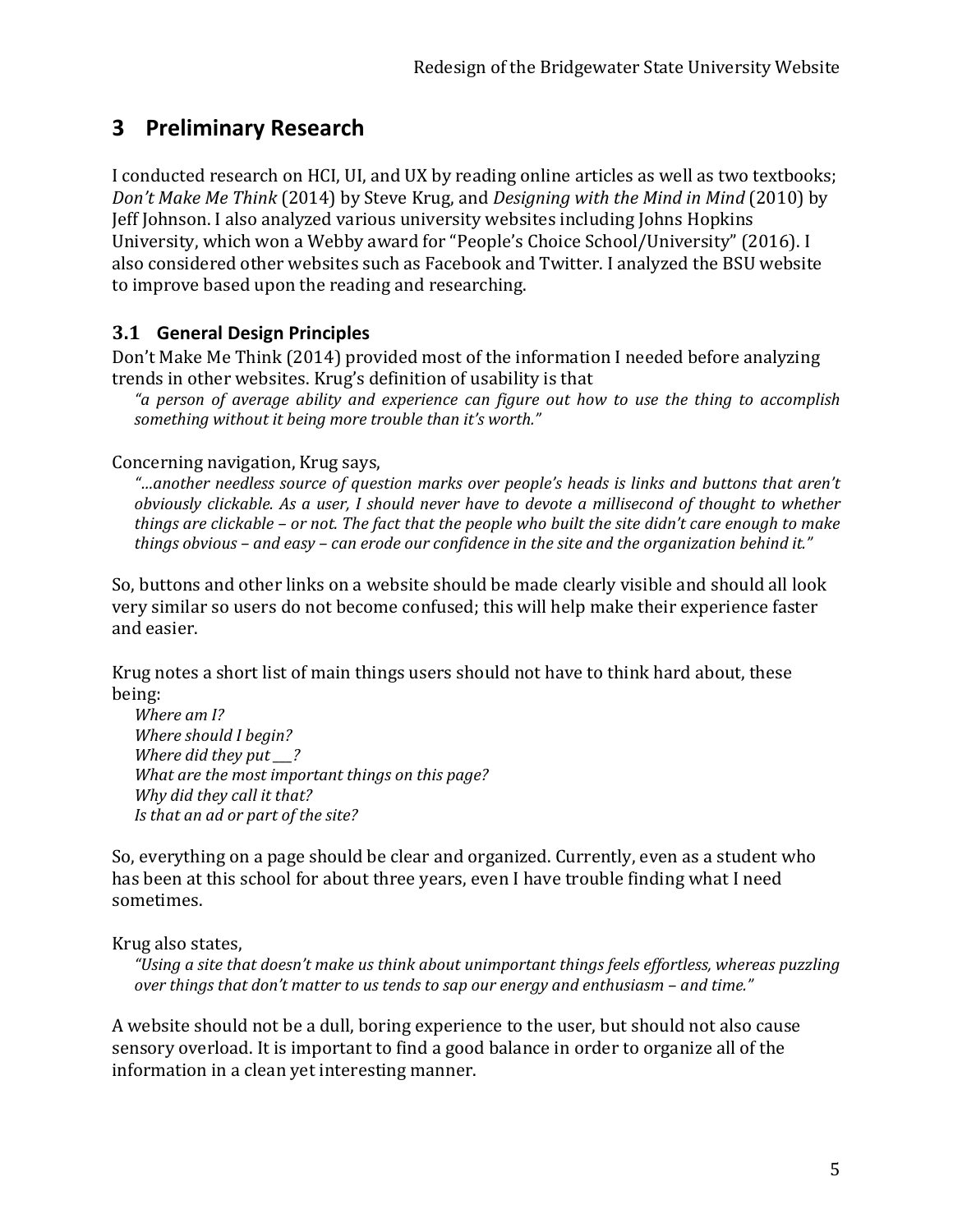## **3 Preliminary Research**

I conducted research on HCI, UI, and UX by reading online articles as well as two textbooks; *Don't Make Me Think* (2014) by Steve Krug, and *Designing with the Mind in Mind* (2010) by Jeff Johnson. I also analyzed various university websites including Johns Hopkins University, which won a Webby award for "People's Choice School/University" (2016). I also considered other websites such as Facebook and Twitter. I analyzed the BSU website to improve based upon the reading and researching.

#### **3.1 General Design Principles**

Don't Make Me Think (2014) provided most of the information I needed before analyzing trends in other websites. Krug's definition of usability is that

*"a person of average ability and experience can figure out how to use the thing to accomplish something without it being more trouble than it's worth."*

Concerning navigation, Krug says,

*"…another needless source of question marks over people's heads is links and buttons that aren't obviously clickable. As a user, I should never have to devote a millisecond of thought to whether things are clickable – or not. The fact that the people who built the site didn't care enough to make things obvious – and easy – can erode our confidence in the site and the organization behind it."*

So, buttons and other links on a website should be made clearly visible and should all look very similar so users do not become confused; this will help make their experience faster and easier.

Krug notes a short list of main things users should not have to think hard about, these being:

*Where am I? Where should I begin? Where did they put \_\_\_? What are the most important things on this page? Why did they call it that? Is that an ad or part of the site?*

So, everything on a page should be clear and organized. Currently, even as a student who has been at this school for about three years, even I have trouble finding what I need sometimes.

#### Krug also states,

*"Using a site that doesn't make us think about unimportant things feels effortless, whereas puzzling over things that don't matter to us tends to sap our energy and enthusiasm – and time."*

A website should not be a dull, boring experience to the user, but should not also cause sensory overload. It is important to find a good balance in order to organize all of the information in a clean yet interesting manner.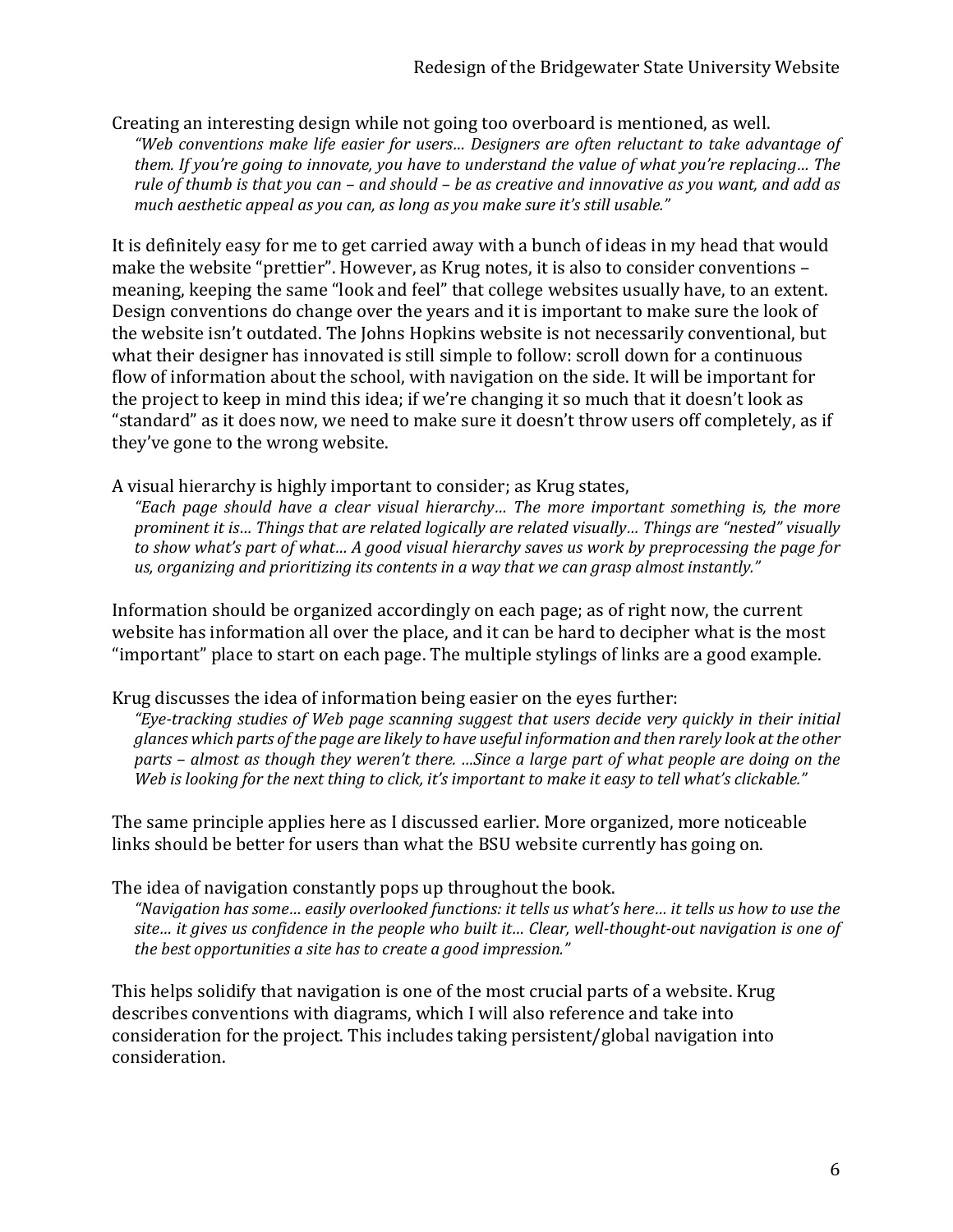Creating an interesting design while not going too overboard is mentioned, as well. *"Web conventions make life easier for users… Designers are often reluctant to take advantage of them. If you're going to innovate, you have to understand the value of what you're replacing… The rule of thumb is that you can – and should – be as creative and innovative as you want, and add as much aesthetic appeal as you can, as long as you make sure it's still usable."* 

It is definitely easy for me to get carried away with a bunch of ideas in my head that would make the website "prettier". However, as Krug notes, it is also to consider conventions – meaning, keeping the same "look and feel" that college websites usually have, to an extent. Design conventions do change over the years and it is important to make sure the look of the website isn't outdated. The Johns Hopkins website is not necessarily conventional, but what their designer has innovated is still simple to follow: scroll down for a continuous flow of information about the school, with navigation on the side. It will be important for the project to keep in mind this idea; if we're changing it so much that it doesn't look as "standard" as it does now, we need to make sure it doesn't throw users off completely, as if they've gone to the wrong website.

#### A visual hierarchy is highly important to consider; as Krug states,

*"Each page should have a clear visual hierarchy… The more important something is, the more prominent it is… Things that are related logically are related visually… Things are "nested" visually to show what's part of what… A good visual hierarchy saves us work by preprocessing the page for us, organizing and prioritizing its contents in a way that we can grasp almost instantly."*

Information should be organized accordingly on each page; as of right now, the current website has information all over the place, and it can be hard to decipher what is the most "important" place to start on each page. The multiple stylings of links are a good example.

#### Krug discusses the idea of information being easier on the eyes further:

*"Eye-tracking studies of Web page scanning suggest that users decide very quickly in their initial glances which parts of the page are likely to have useful information and then rarely look at the other parts – almost as though they weren't there. …Since a large part of what people are doing on the Web is looking for the next thing to click, it's important to make it easy to tell what's clickable."*

The same principle applies here as I discussed earlier. More organized, more noticeable links should be better for users than what the BSU website currently has going on.

The idea of navigation constantly pops up throughout the book.

*"Navigation has some… easily overlooked functions: it tells us what's here… it tells us how to use the site… it gives us confidence in the people who built it… Clear, well-thought-out navigation is one of the best opportunities a site has to create a good impression."* 

This helps solidify that navigation is one of the most crucial parts of a website. Krug describes conventions with diagrams, which I will also reference and take into consideration for the project. This includes taking persistent/global navigation into consideration.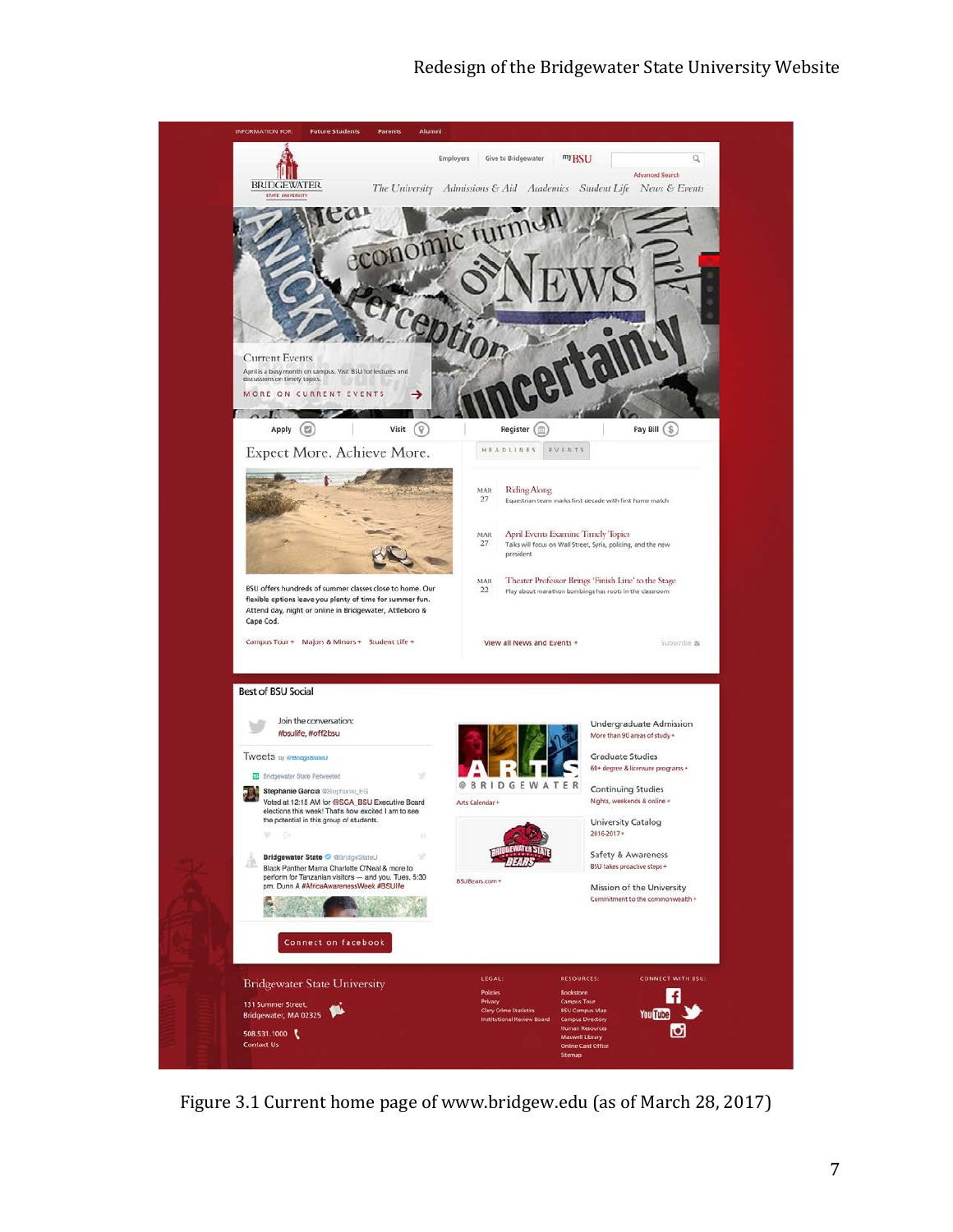#### Redesign of the Bridgewater State University Website



Figure 3.1 Current home page of www.bridgew.edu (as of March 28, 2017)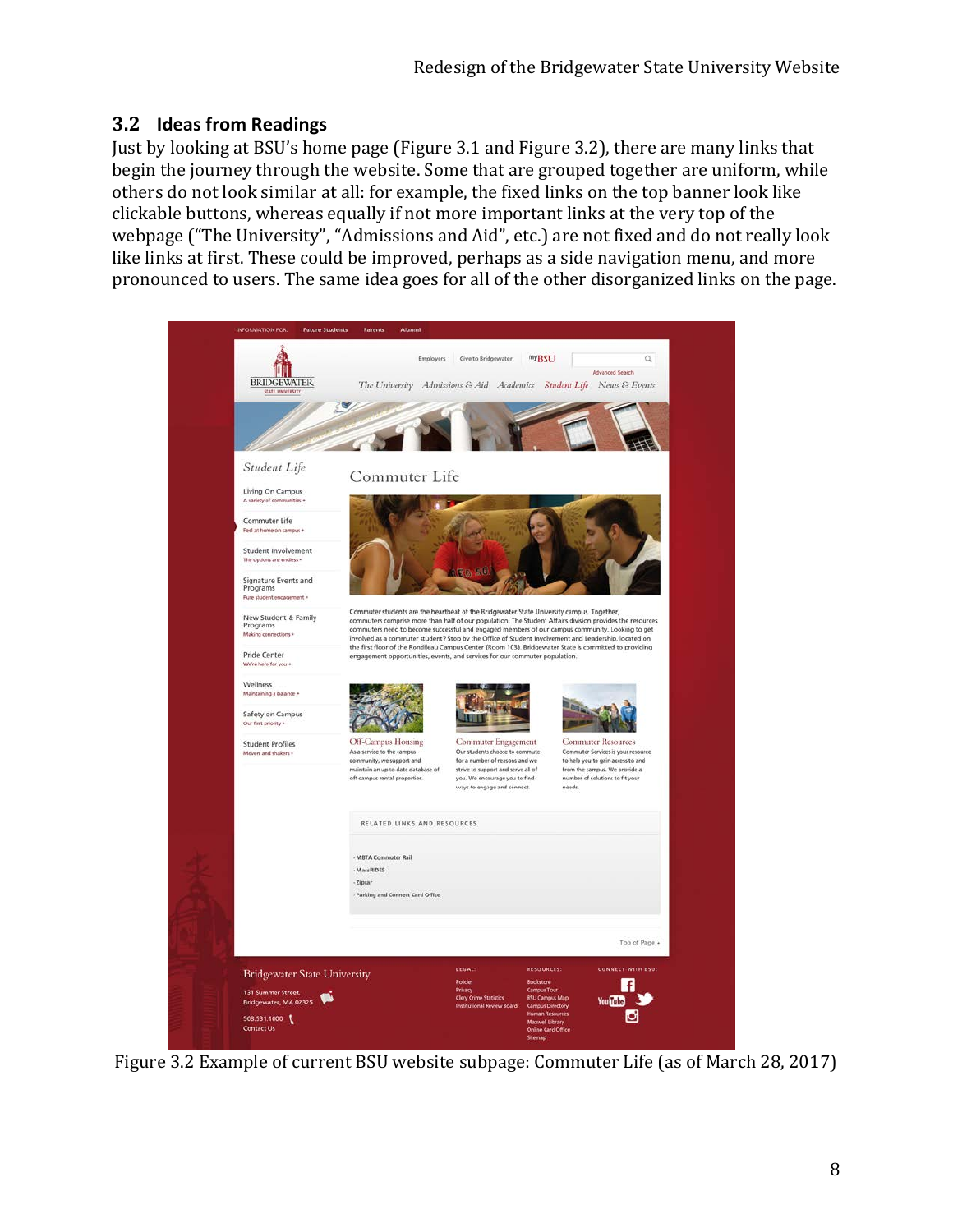### **3.2 Ideas from Readings**

Just by looking at BSU's home page (Figure 3.1 and Figure 3.2), there are many links that begin the journey through the website. Some that are grouped together are uniform, while others do not look similar at all: for example, the fixed links on the top banner look like clickable buttons, whereas equally if not more important links at the very top of the webpage ("The University", "Admissions and Aid", etc.) are not fixed and do not really look like links at first. These could be improved, perhaps as a side navigation menu, and more pronounced to users. The same idea goes for all of the other disorganized links on the page.



Figure 3.2 Example of current BSU website subpage: Commuter Life (as of March 28, 2017)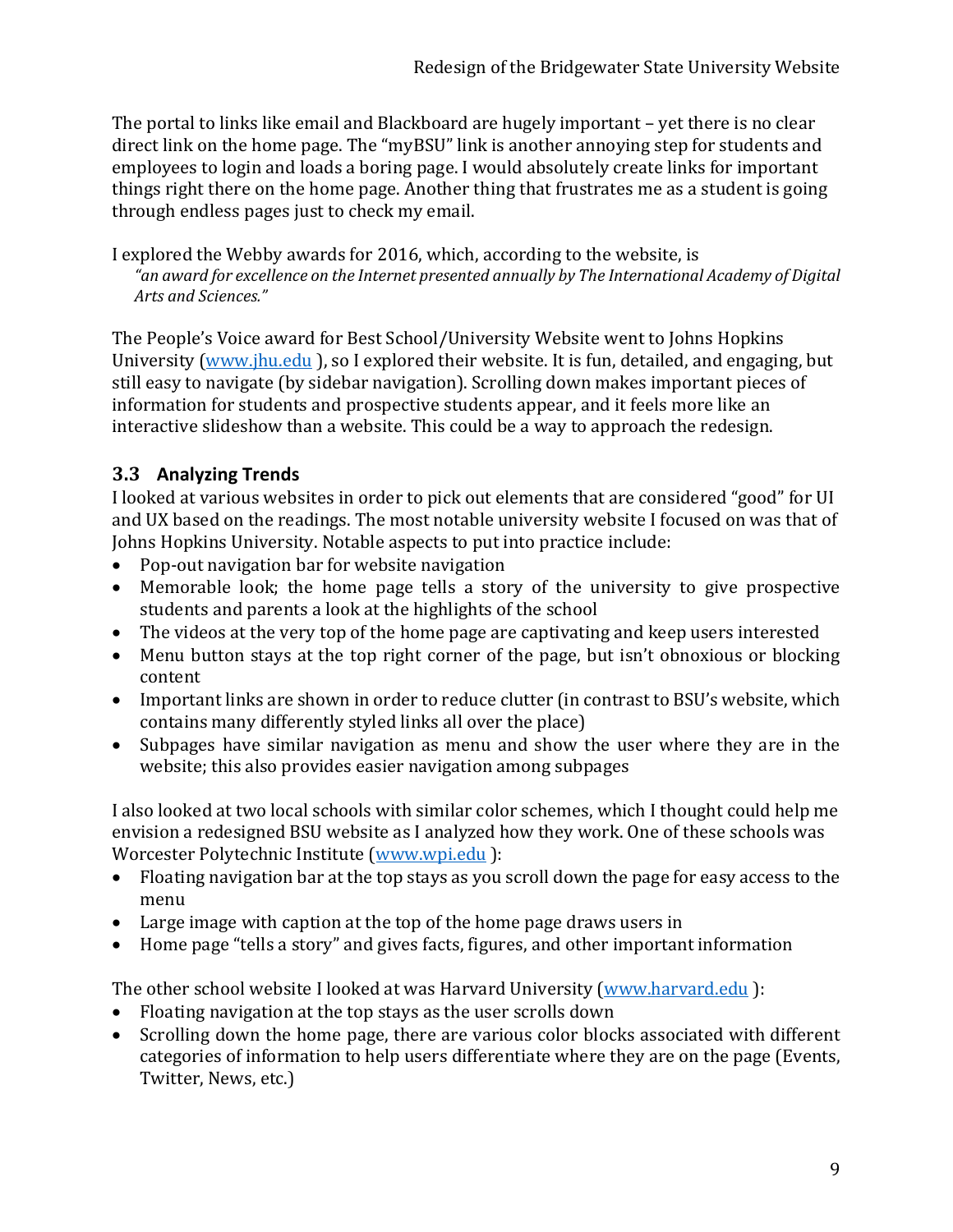The portal to links like email and Blackboard are hugely important – yet there is no clear direct link on the home page. The "myBSU" link is another annoying step for students and employees to login and loads a boring page. I would absolutely create links for important things right there on the home page. Another thing that frustrates me as a student is going through endless pages just to check my email.

I explored the Webby awards for 2016, which, according to the website, is *"an award for excellence on the Internet presented annually by The International Academy of Digital Arts and Sciences."*

The People's Voice award for Best School/University Website went to Johns Hopkins University [\(www.jhu.edu](http://www.jdu.edu/) ), so I explored their website. It is fun, detailed, and engaging, but still easy to navigate (by sidebar navigation). Scrolling down makes important pieces of information for students and prospective students appear, and it feels more like an interactive slideshow than a website. This could be a way to approach the redesign.

## **3.3 Analyzing Trends**

I looked at various websites in order to pick out elements that are considered "good" for UI and UX based on the readings. The most notable university website I focused on was that of Johns Hopkins University. Notable aspects to put into practice include:

- Pop-out navigation bar for website navigation
- Memorable look; the home page tells a story of the university to give prospective students and parents a look at the highlights of the school
- The videos at the very top of the home page are captivating and keep users interested
- Menu button stays at the top right corner of the page, but isn't obnoxious or blocking content
- Important links are shown in order to reduce clutter (in contrast to BSU's website, which contains many differently styled links all over the place)
- Subpages have similar navigation as menu and show the user where they are in the website; this also provides easier navigation among subpages

I also looked at two local schools with similar color schemes, which I thought could help me envision a redesigned BSU website as I analyzed how they work. One of these schools was Worcester Polytechnic Institute [\(www.wpi.edu](http://www.wpi.edu/) ):

- Floating navigation bar at the top stays as you scroll down the page for easy access to the menu
- Large image with caption at the top of the home page draws users in
- Home page "tells a story" and gives facts, figures, and other important information

The other school website I looked at was Harvard University [\(www.harvard.edu](http://www.harvard.edu/) ):

- Floating navigation at the top stays as the user scrolls down
- Scrolling down the home page, there are various color blocks associated with different categories of information to help users differentiate where they are on the page (Events, Twitter, News, etc.)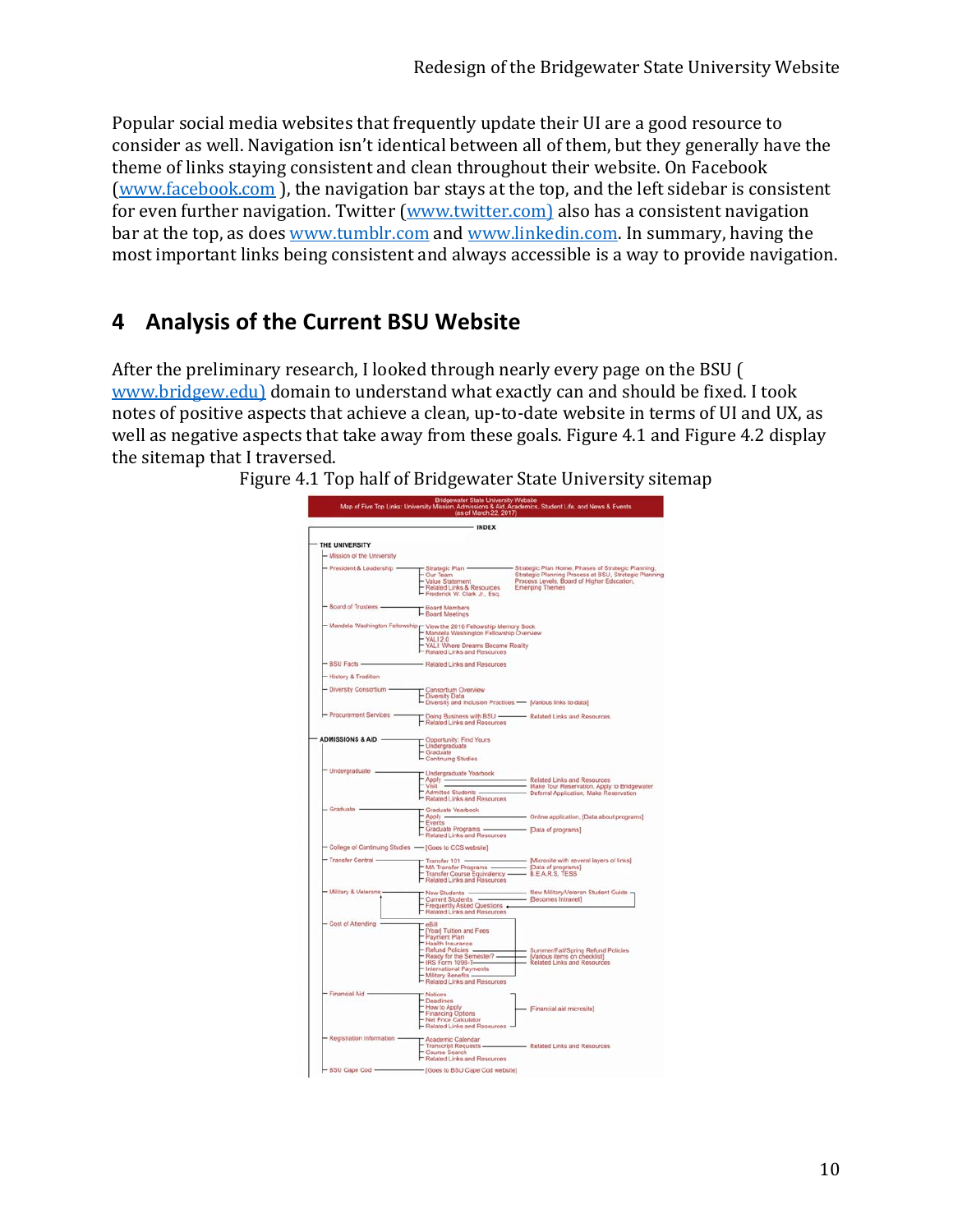Popular social media websites that frequently update their UI are a good resource to consider as well. Navigation isn't identical between all of them, but they generally have the theme of links staying consistent and clean throughout their website. On Facebook [\(www.facebook.com](http://www.facebook.com/) ), the navigation bar stays at the top, and the left sidebar is consistent for even further navigation. Twitter [\(www.twitter.com\)](http://www.twitter.com/) also has a consistent navigation bar at the top, as does [www.tumblr.com](http://www.tumblr.com/) an[d www.linkedin.com.](http://www.linkedin.com/) In summary, having the most important links being consistent and always accessible is a way to provide navigation.

## **4 Analysis of the Current BSU Website**

After the preliminary research, I looked through nearly every page on the BSU ( [www.bridgew.edu\)](http://www.bridgew.edu/) domain to understand what exactly can and should be fixed. I took notes of positive aspects that achieve a clean, up-to-date website in terms of UI and UX, as well as negative aspects that take away from these goals. Figure 4.1 and Figure 4.2 display the sitemap that I traversed.

Figure 4.1 Top half of Bridgewater State University sitemap

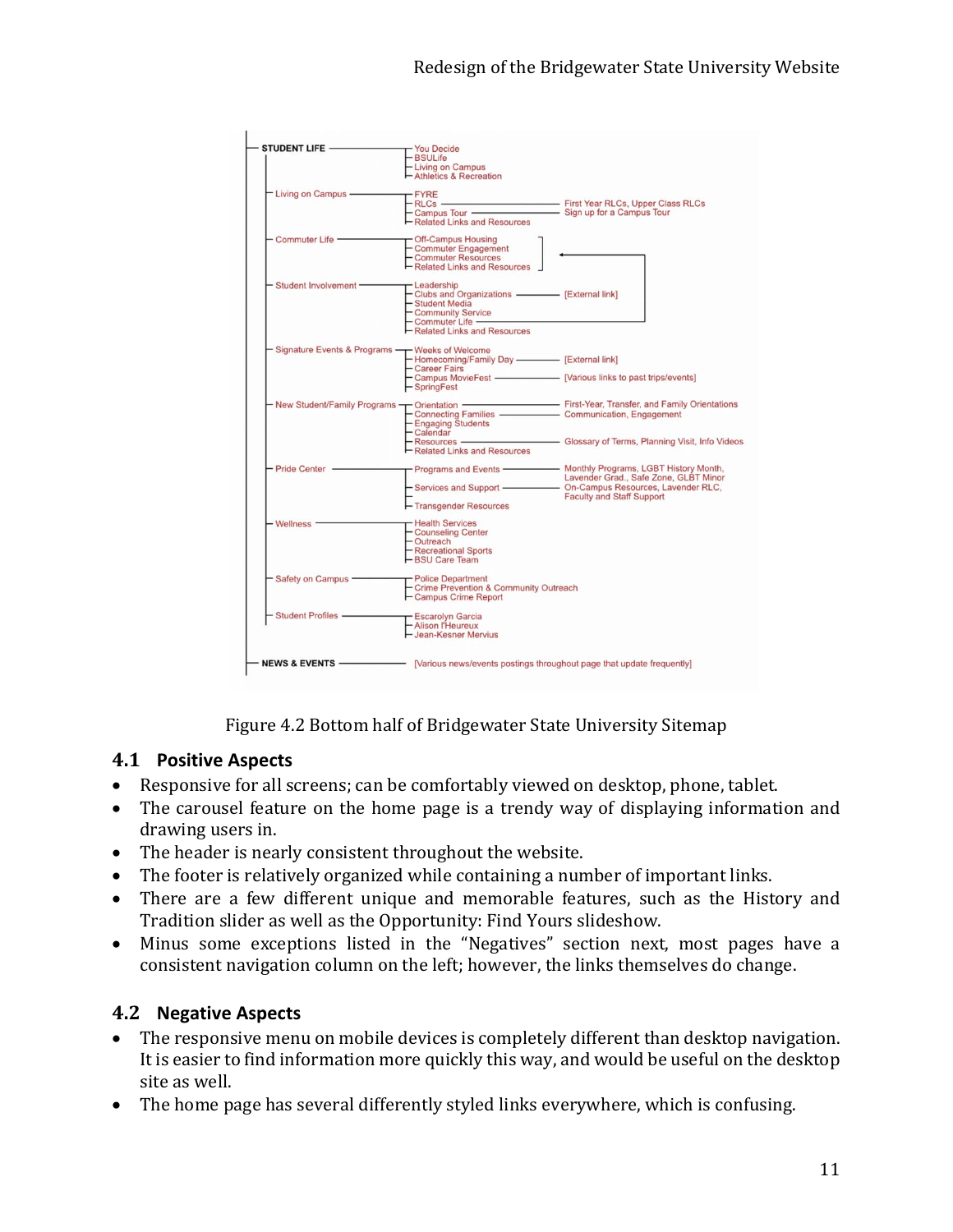| STUDENT LIFE -                | - You Decide                                                            |                                                                                                                                         |  |  |
|-------------------------------|-------------------------------------------------------------------------|-----------------------------------------------------------------------------------------------------------------------------------------|--|--|
|                               | - BSULife                                                               |                                                                                                                                         |  |  |
|                               | - Living on Campus                                                      |                                                                                                                                         |  |  |
|                               | - Athletics & Recreation                                                |                                                                                                                                         |  |  |
| - Living on Campus -          | $F$ FYRE                                                                |                                                                                                                                         |  |  |
|                               |                                                                         |                                                                                                                                         |  |  |
|                               |                                                                         |                                                                                                                                         |  |  |
|                               | - Related Links and Resources                                           |                                                                                                                                         |  |  |
| Commuter Life -               | Off-Campus Housing                                                      |                                                                                                                                         |  |  |
|                               | - Commuter Engagement                                                   |                                                                                                                                         |  |  |
|                               | - Commuter Resources                                                    |                                                                                                                                         |  |  |
|                               | - Related Links and Resources                                           |                                                                                                                                         |  |  |
| - Student Involvement-        | - Leadership                                                            |                                                                                                                                         |  |  |
|                               | - Clubs and Organizations - [External link]                             |                                                                                                                                         |  |  |
|                               |                                                                         |                                                                                                                                         |  |  |
|                               | - Student Media<br>- Community Service                                  |                                                                                                                                         |  |  |
|                               | - Commuter Life —————                                                   |                                                                                                                                         |  |  |
|                               | - Related Links and Resources                                           |                                                                                                                                         |  |  |
|                               |                                                                         |                                                                                                                                         |  |  |
| Signature Events & Programs - | - Weeks of Welcome                                                      |                                                                                                                                         |  |  |
|                               | - Homecoming/Family Day - [External link]<br>- Career Fairs             |                                                                                                                                         |  |  |
|                               |                                                                         | - Career Fairs<br>- Campus MovieFest ———————— [Various links to past trips/events]                                                      |  |  |
|                               |                                                                         |                                                                                                                                         |  |  |
|                               | - SpringFest                                                            |                                                                                                                                         |  |  |
|                               |                                                                         | - New Student/Family Programs<br>- Connecting Families  - Communication, Engagement<br>Connecting Families  - Communication, Engagement |  |  |
|                               |                                                                         |                                                                                                                                         |  |  |
|                               | - Engaging Students                                                     |                                                                                                                                         |  |  |
|                               | - Calendar                                                              |                                                                                                                                         |  |  |
|                               |                                                                         | - Calendar<br>- Resources ——————————— Glossary of Terms, Planning Visit, Info Videos                                                    |  |  |
|                               | -Related Links and Resources                                            |                                                                                                                                         |  |  |
| Pride Center -                |                                                                         | Programs and Events —————— Monthly Programs, LGBT History Month,                                                                        |  |  |
|                               |                                                                         |                                                                                                                                         |  |  |
|                               |                                                                         |                                                                                                                                         |  |  |
|                               |                                                                         | <b>Faculty and Staff Support</b>                                                                                                        |  |  |
|                               | - Transgender Resources                                                 |                                                                                                                                         |  |  |
| - Wellness -                  | Health Services                                                         |                                                                                                                                         |  |  |
|                               | - Counseling Center                                                     |                                                                                                                                         |  |  |
|                               |                                                                         |                                                                                                                                         |  |  |
|                               | - Outreach<br>- Recreational Sports                                     |                                                                                                                                         |  |  |
|                               | -BSU Care Team                                                          |                                                                                                                                         |  |  |
| - Safety on Campus -          | - Police Department                                                     |                                                                                                                                         |  |  |
|                               | - Crime Prevention & Community Outreach                                 |                                                                                                                                         |  |  |
|                               | - Campus Crime Report                                                   |                                                                                                                                         |  |  |
|                               |                                                                         |                                                                                                                                         |  |  |
| <b>Student Profiles -</b>     | - Escarolyn Garcia                                                      |                                                                                                                                         |  |  |
|                               | - Alison l'Heureux                                                      |                                                                                                                                         |  |  |
|                               | - Jean-Kesner Mervius                                                   |                                                                                                                                         |  |  |
|                               |                                                                         |                                                                                                                                         |  |  |
| <b>NEWS &amp; EVENTS -</b>    | - [Various news/events postings throughout page that update frequently] |                                                                                                                                         |  |  |
|                               |                                                                         |                                                                                                                                         |  |  |

Figure 4.2 Bottom half of Bridgewater State University Sitemap

#### **4.1 Positive Aspects**

- Responsive for all screens; can be comfortably viewed on desktop, phone, tablet.
- The carousel feature on the home page is a trendy way of displaying information and drawing users in.
- The header is nearly consistent throughout the website.
- The footer is relatively organized while containing a number of important links.
- There are a few different unique and memorable features, such as the History and Tradition slider as well as the Opportunity: Find Yours slideshow.
- Minus some exceptions listed in the "Negatives" section next, most pages have a consistent navigation column on the left; however, the links themselves do change.

#### **4.2 Negative Aspects**

- The responsive menu on mobile devices is completely different than desktop navigation. It is easier to find information more quickly this way, and would be useful on the desktop site as well.
- The home page has several differently styled links everywhere, which is confusing.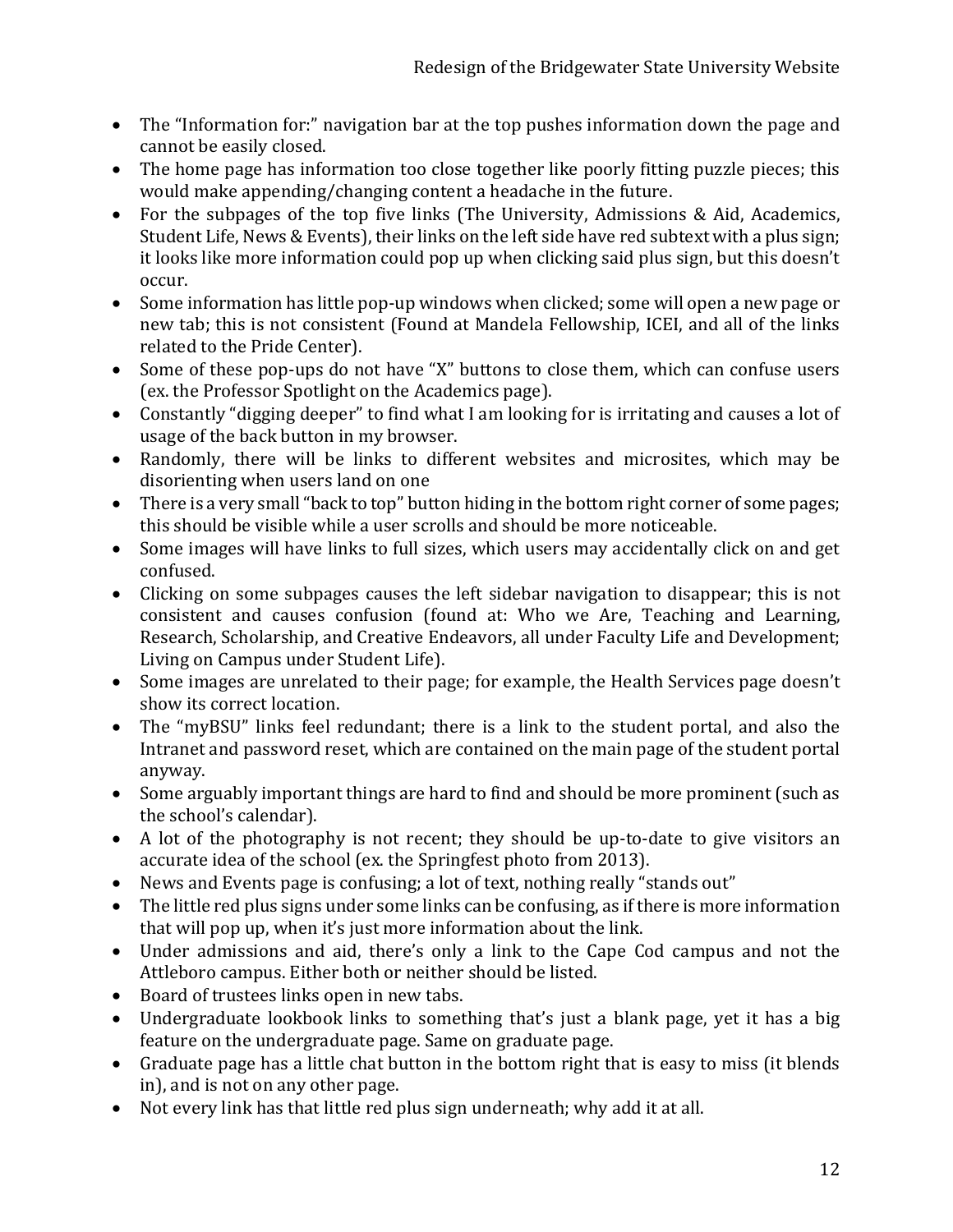- The "Information for:" navigation bar at the top pushes information down the page and cannot be easily closed.
- The home page has information too close together like poorly fitting puzzle pieces; this would make appending/changing content a headache in the future.
- For the subpages of the top five links (The University, Admissions & Aid, Academics, Student Life, News & Events), their links on the left side have red subtext with a plus sign; it looks like more information could pop up when clicking said plus sign, but this doesn't occur.
- Some information has little pop-up windows when clicked; some will open a new page or new tab; this is not consistent (Found at Mandela Fellowship, ICEI, and all of the links related to the Pride Center).
- Some of these pop-ups do not have "X" buttons to close them, which can confuse users (ex. the Professor Spotlight on the Academics page).
- Constantly "digging deeper" to find what I am looking for is irritating and causes a lot of usage of the back button in my browser.
- Randomly, there will be links to different websites and microsites, which may be disorienting when users land on one
- There is a very small "back to top" button hiding in the bottom right corner of some pages; this should be visible while a user scrolls and should be more noticeable.
- Some images will have links to full sizes, which users may accidentally click on and get confused.
- Clicking on some subpages causes the left sidebar navigation to disappear; this is not consistent and causes confusion (found at: Who we Are, Teaching and Learning, Research, Scholarship, and Creative Endeavors, all under Faculty Life and Development; Living on Campus under Student Life).
- Some images are unrelated to their page; for example, the Health Services page doesn't show its correct location.
- The "myBSU" links feel redundant; there is a link to the student portal, and also the Intranet and password reset, which are contained on the main page of the student portal anyway.
- Some arguably important things are hard to find and should be more prominent (such as the school's calendar).
- A lot of the photography is not recent; they should be up-to-date to give visitors an accurate idea of the school (ex. the Springfest photo from 2013).
- News and Events page is confusing; a lot of text, nothing really "stands out"
- The little red plus signs under some links can be confusing, as if there is more information that will pop up, when it's just more information about the link.
- Under admissions and aid, there's only a link to the Cape Cod campus and not the Attleboro campus. Either both or neither should be listed.
- Board of trustees links open in new tabs.
- Undergraduate lookbook links to something that's just a blank page, yet it has a big feature on the undergraduate page. Same on graduate page.
- Graduate page has a little chat button in the bottom right that is easy to miss (it blends in), and is not on any other page.
- Not every link has that little red plus sign underneath; why add it at all.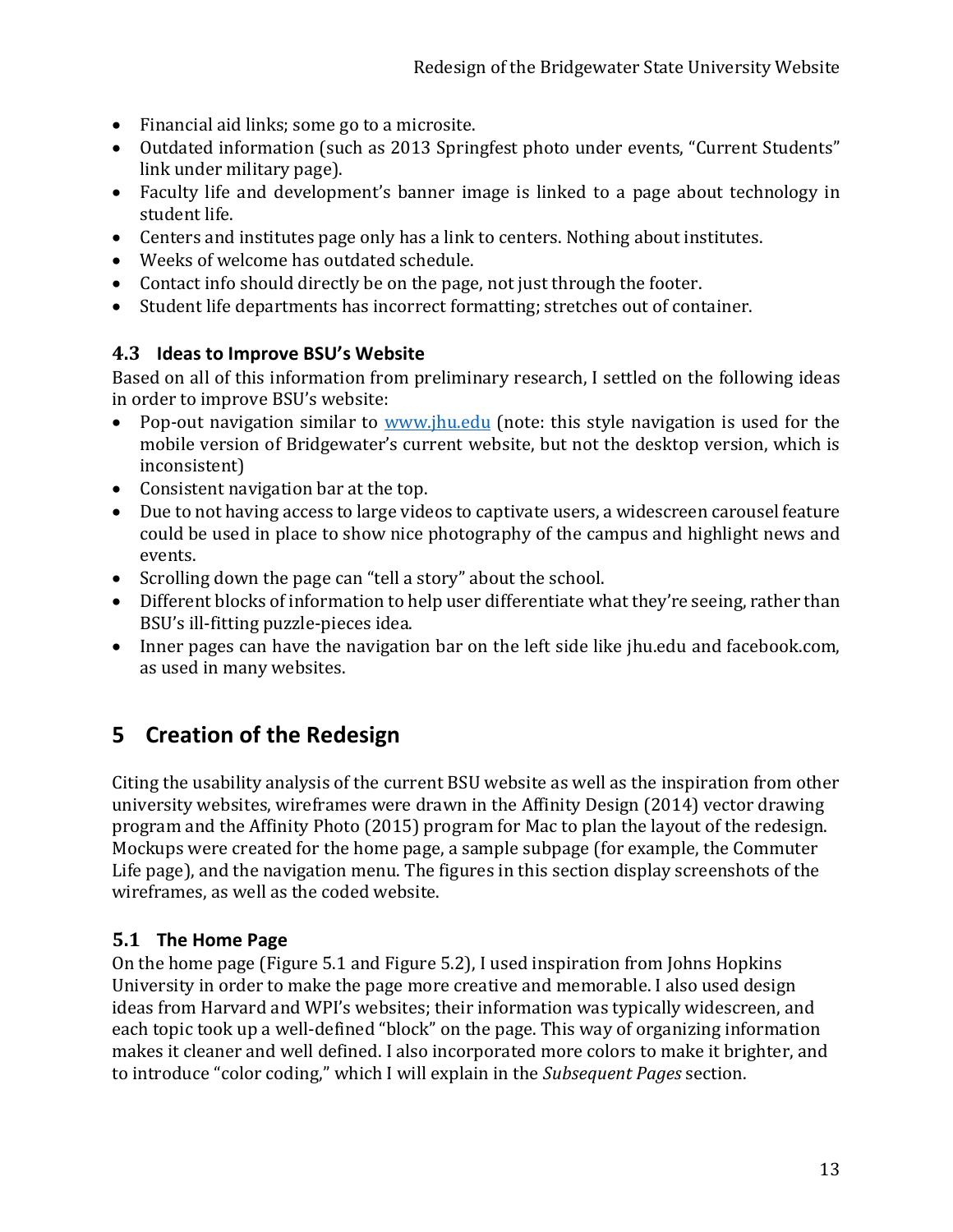- Financial aid links; some go to a microsite.
- Outdated information (such as 2013 Springfest photo under events, "Current Students" link under military page).
- Faculty life and development's banner image is linked to a page about technology in student life.
- Centers and institutes page only has a link to centers. Nothing about institutes.
- Weeks of welcome has outdated schedule.
- Contact info should directly be on the page, not just through the footer.
- Student life departments has incorrect formatting; stretches out of container.

### **4.3 Ideas to Improve BSU's Website**

Based on all of this information from preliminary research, I settled on the following ideas in order to improve BSU's website:<br>• Pon-out navigation similar to w

- Pop-out navigation similar to [www.jhu.edu](http://www.jhu.edu/) (note: this style navigation is used for the mobile version of Bridgewater's current website, but not the desktop version, which is inconsistent)
- Consistent navigation bar at the top.
- Due to not having access to large videos to captivate users, a widescreen carousel feature could be used in place to show nice photography of the campus and highlight news and events.
- Scrolling down the page can "tell a story" about the school.
- Different blocks of information to help user differentiate what they're seeing, rather than BSU's ill-fitting puzzle-pieces idea.
- Inner pages can have the navigation bar on the left side like jhu.edu and facebook.com, as used in many websites.

## **5 Creation of the Redesign**

Citing the usability analysis of the current BSU website as well as the inspiration from other university websites, wireframes were drawn in the Affinity Design (2014) vector drawing program and the Affinity Photo (2015) program for Mac to plan the layout of the redesign. Mockups were created for the home page, a sample subpage (for example, the Commuter Life page), and the navigation menu. The figures in this section display screenshots of the wireframes, as well as the coded website.

### **5.1 The Home Page**

On the home page (Figure 5.1 and Figure 5.2), I used inspiration from Johns Hopkins University in order to make the page more creative and memorable. I also used design ideas from Harvard and WPI's websites; their information was typically widescreen, and each topic took up a well-defined "block" on the page. This way of organizing information makes it cleaner and well defined. I also incorporated more colors to make it brighter, and to introduce "color coding," which I will explain in the *Subsequent Pages* section.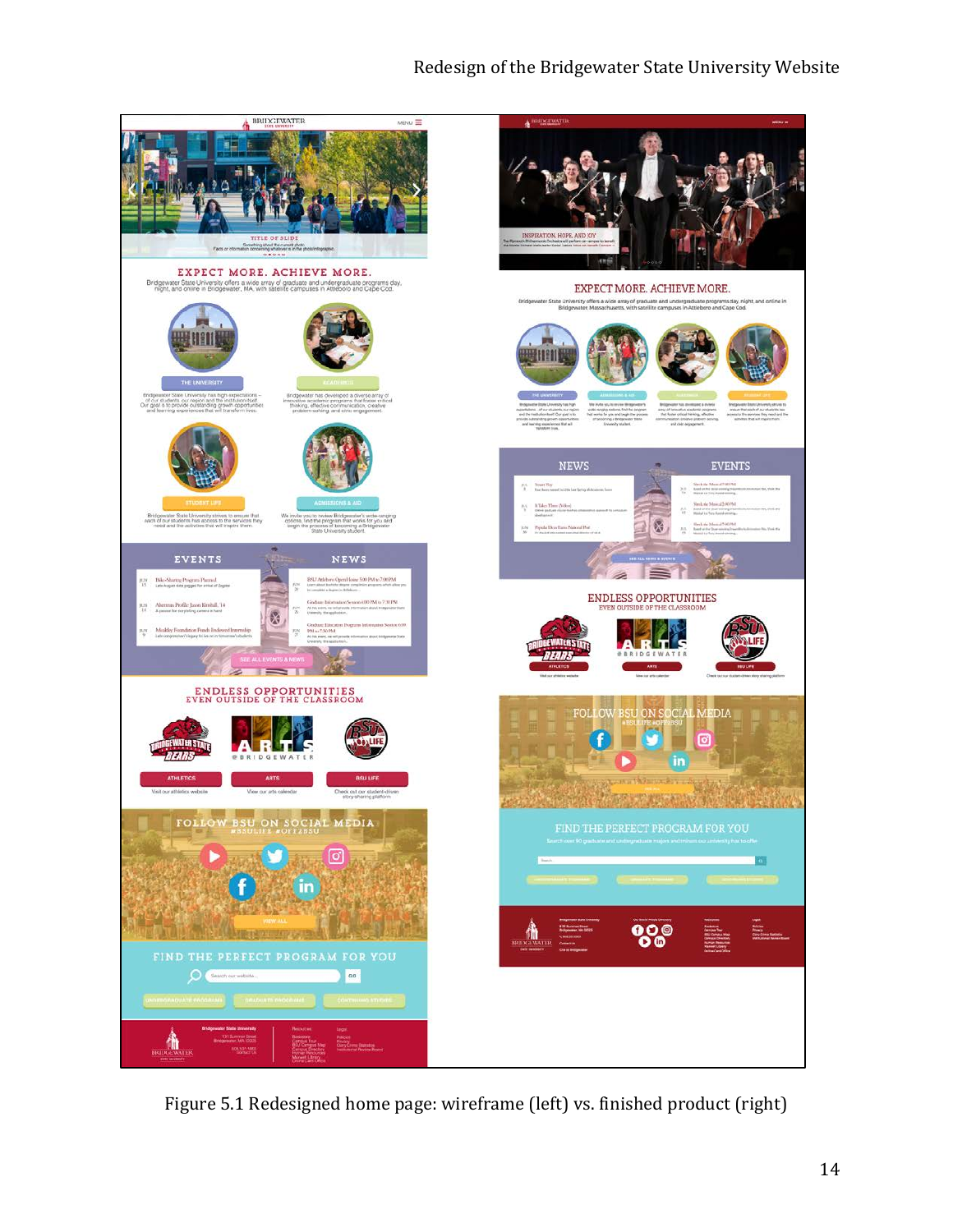### Redesign of the Bridgewater State University Website



Figure 5.1 Redesigned home page: wireframe (left) vs. finished product (right)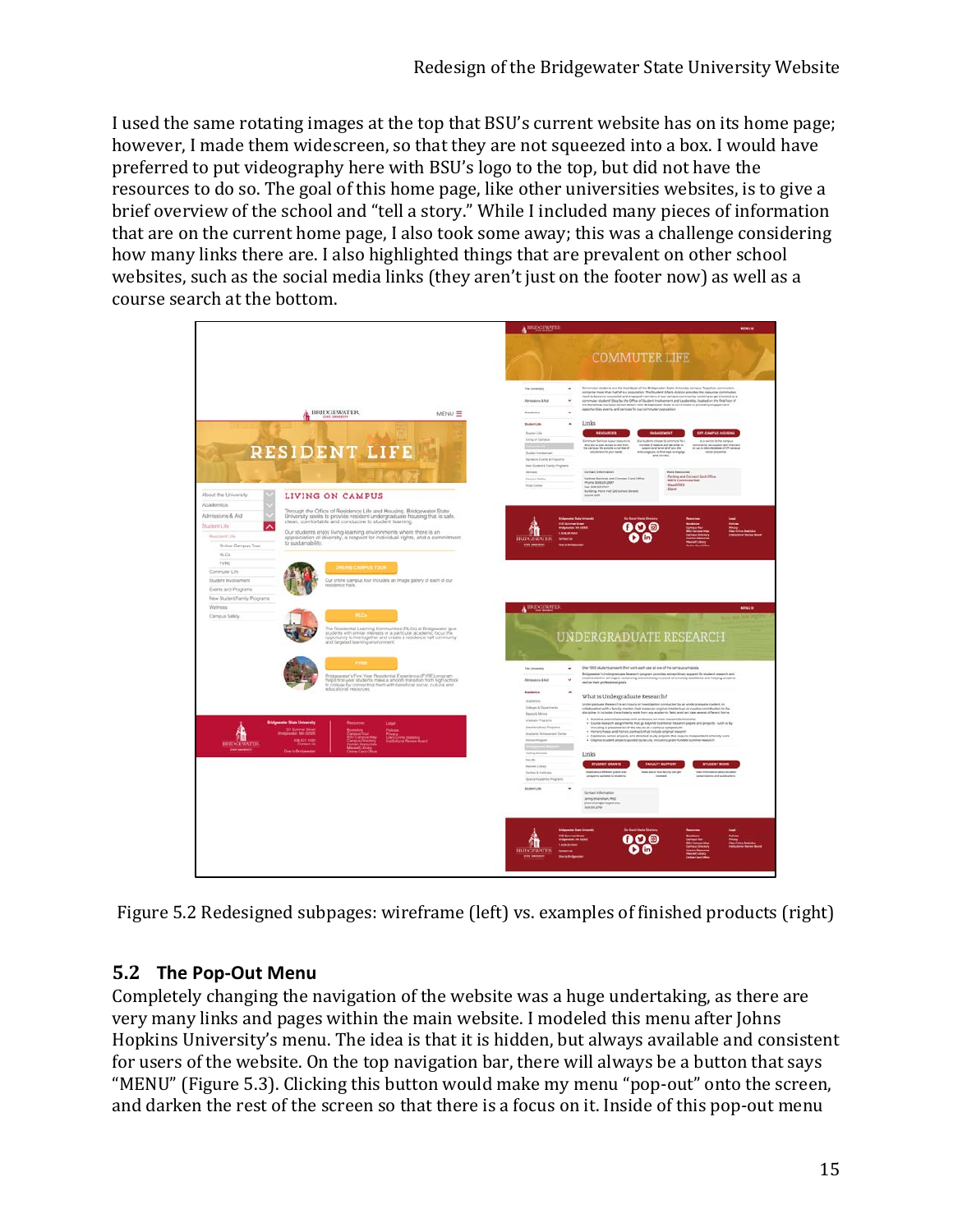I used the same rotating images at the top that BSU's current website has on its home page; however, I made them widescreen, so that they are not squeezed into a box. I would have preferred to put videography here with BSU's logo to the top, but did not have the resources to do so. The goal of this home page, like other universities websites, is to give a brief overview of the school and "tell a story." While I included many pieces of information that are on the current home page, I also took some away; this was a challenge considering how many links there are. I also highlighted things that are prevalent on other school websites, such as the social media links (they aren't just on the footer now) as well as a course search at the bottom.



Figure 5.2 Redesigned subpages: wireframe (left) vs. examples of finished products (right)

## **5.2 The Pop-Out Menu**

Completely changing the navigation of the website was a huge undertaking, as there are very many links and pages within the main website. I modeled this menu after Johns Hopkins University's menu. The idea is that it is hidden, but always available and consistent for users of the website. On the top navigation bar, there will always be a button that says "MENU" [\(Figure 5.3\)](#page-16-0). Clicking this button would make my menu "pop-out" onto the screen, and darken the rest of the screen so that there is a focus on it. Inside of this pop-out menu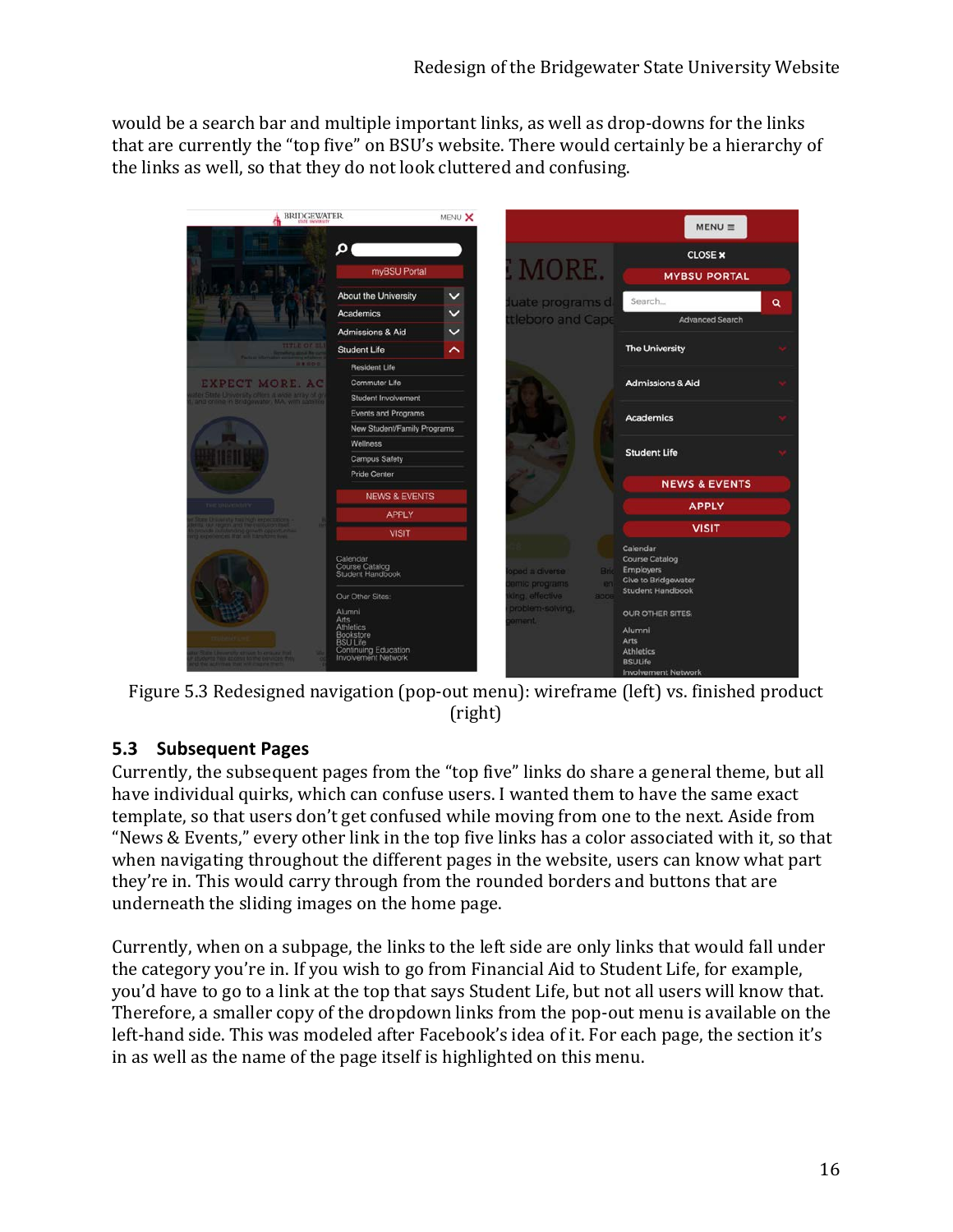would be a search bar and multiple important links, as well as drop-downs for the links that are currently the "top five" on BSU's website. There would certainly be a hierarchy of the links as well, so that they do not look cluttered and confusing.



<span id="page-16-0"></span>

## **5.3 Subsequent Pages**

Currently, the subsequent pages from the "top five" links do share a general theme, but all have individual quirks, which can confuse users. I wanted them to have the same exact template, so that users don't get confused while moving from one to the next. Aside from "News & Events," every other link in the top five links has a color associated with it, so that when navigating throughout the different pages in the website, users can know what part they're in. This would carry through from the rounded borders and buttons that are underneath the sliding images on the home page.

Currently, when on a subpage, the links to the left side are only links that would fall under the category you're in. If you wish to go from Financial Aid to Student Life, for example, you'd have to go to a link at the top that says Student Life, but not all users will know that. Therefore, a smaller copy of the dropdown links from the pop-out menu is available on the left-hand side. This was modeled after Facebook's idea of it. For each page, the section it's in as well as the name of the page itself is highlighted on this menu.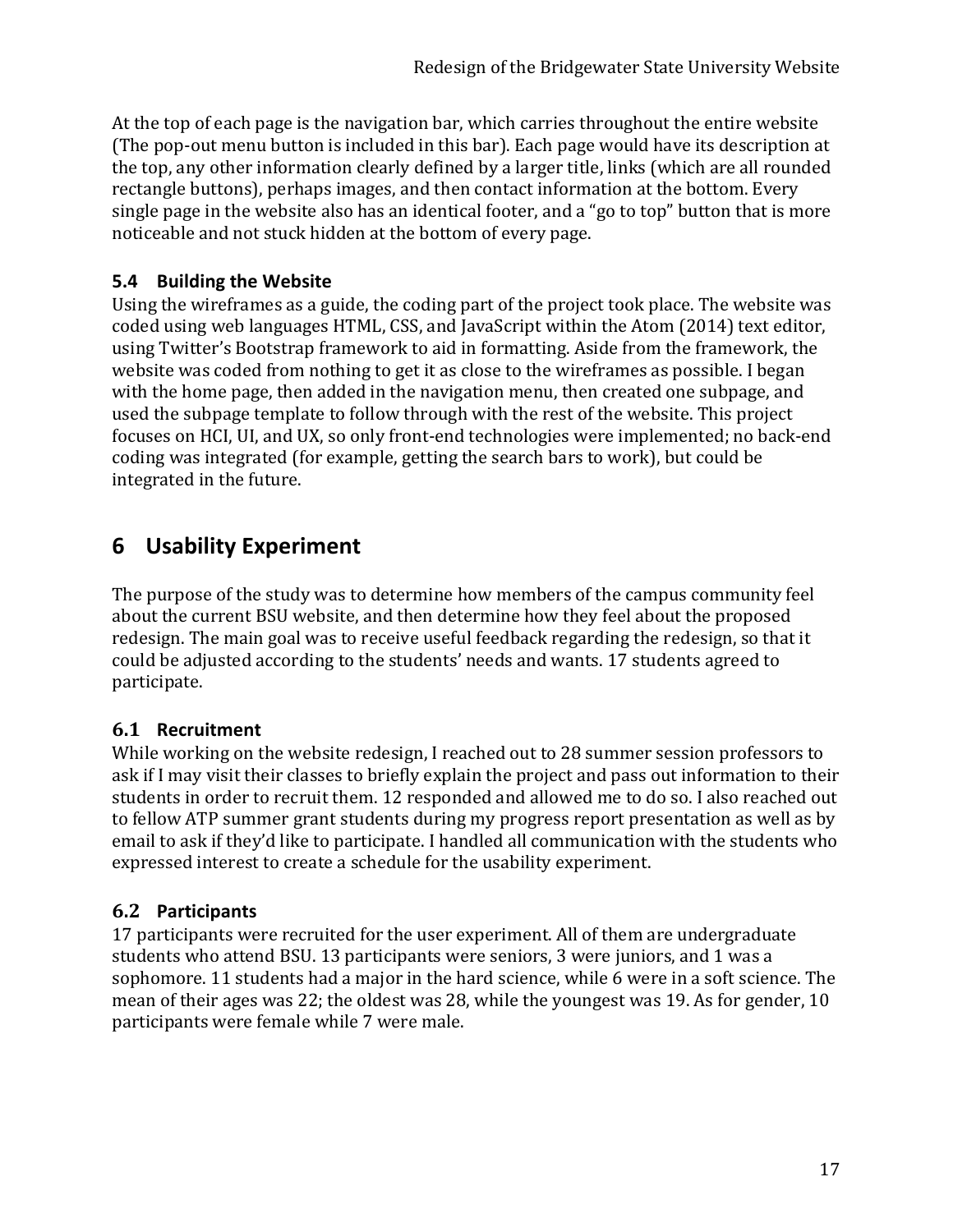At the top of each page is the navigation bar, which carries throughout the entire website (The pop-out menu button is included in this bar). Each page would have its description at the top, any other information clearly defined by a larger title, links (which are all rounded rectangle buttons), perhaps images, and then contact information at the bottom. Every single page in the website also has an identical footer, and a "go to top" button that is more noticeable and not stuck hidden at the bottom of every page.

## **5.4 Building the Website**

Using the wireframes as a guide, the coding part of the project took place. The website was coded using web languages HTML, CSS, and JavaScript within the Atom (2014) text editor, using Twitter's Bootstrap framework to aid in formatting. Aside from the framework, the website was coded from nothing to get it as close to the wireframes as possible. I began with the home page, then added in the navigation menu, then created one subpage, and used the subpage template to follow through with the rest of the website. This project focuses on HCI, UI, and UX, so only front-end technologies were implemented; no back-end coding was integrated (for example, getting the search bars to work), but could be integrated in the future.

## **6 Usability Experiment**

The purpose of the study was to determine how members of the campus community feel about the current BSU website, and then determine how they feel about the proposed redesign. The main goal was to receive useful feedback regarding the redesign, so that it could be adjusted according to the students' needs and wants. 17 students agreed to participate.

## **6.1 Recruitment**

While working on the website redesign, I reached out to 28 summer session professors to ask if I may visit their classes to briefly explain the project and pass out information to their students in order to recruit them. 12 responded and allowed me to do so. I also reached out to fellow ATP summer grant students during my progress report presentation as well as by email to ask if they'd like to participate. I handled all communication with the students who expressed interest to create a schedule for the usability experiment.

## **6.2 Participants**

17 participants were recruited for the user experiment. All of them are undergraduate students who attend BSU. 13 participants were seniors, 3 were juniors, and 1 was a sophomore. 11 students had a major in the hard science, while 6 were in a soft science. The mean of their ages was 22; the oldest was 28, while the youngest was 19. As for gender, 10 participants were female while 7 were male.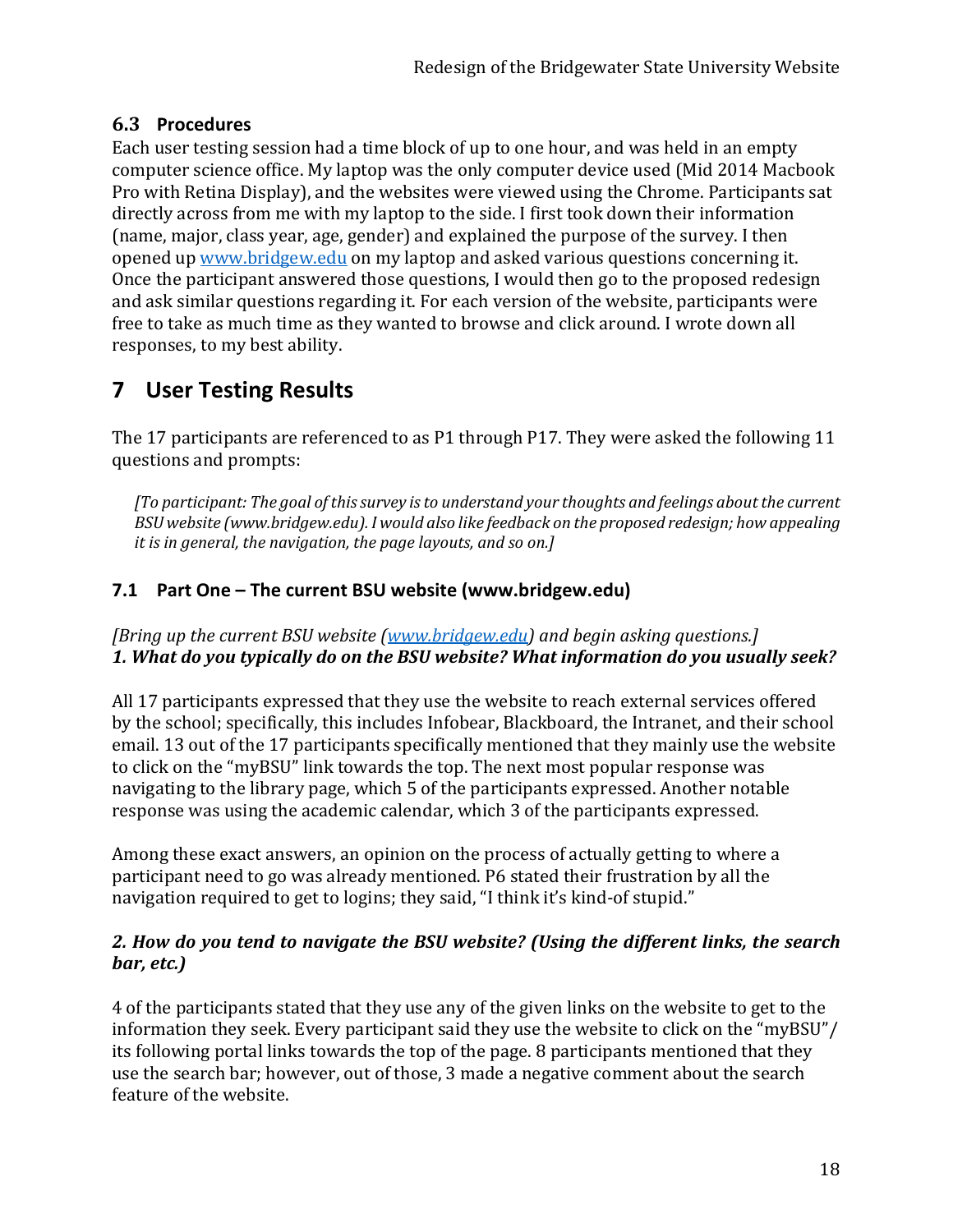### **6.3 Procedures**

Each user testing session had a time block of up to one hour, and was held in an empty computer science office. My laptop was the only computer device used (Mid 2014 Macbook Pro with Retina Display), and the websites were viewed using the Chrome. Participants sat directly across from me with my laptop to the side. I first took down their information (name, major, class year, age, gender) and explained the purpose of the survey. I then opened u[p www.bridgew.edu](http://www.bridgew.edu/) on my laptop and asked various questions concerning it. Once the participant answered those questions, I would then go to the proposed redesign and ask similar questions regarding it. For each version of the website, participants were free to take as much time as they wanted to browse and click around. I wrote down all responses, to my best ability.

## **7 User Testing Results**

The 17 participants are referenced to as P1 through P17. They were asked the following 11 questions and prompts:

*[To participant: The goal of this survey is to understand your thoughts and feelings about the current BSU website (www.bridgew.edu). I would also like feedback on the proposed redesign; how appealing it is in general, the navigation, the page layouts, and so on.]*

## **7.1 Part One – The current BSU website (www.bridgew.edu)**

*[Bring up the current BSU website [\(www.bridgew.edu\)](http://www.bridgew.edu/) and begin asking questions.] 1. What do you typically do on the BSU website? What information do you usually seek?*

All 17 participants expressed that they use the website to reach external services offered by the school; specifically, this includes Infobear, Blackboard, the Intranet, and their school email. 13 out of the 17 participants specifically mentioned that they mainly use the website to click on the "myBSU" link towards the top. The next most popular response was navigating to the library page, which 5 of the participants expressed. Another notable response was using the academic calendar, which 3 of the participants expressed.

Among these exact answers, an opinion on the process of actually getting to where a participant need to go was already mentioned. P6 stated their frustration by all the navigation required to get to logins; they said, "I think it's kind-of stupid."

### *2. How do you tend to navigate the BSU website? (Using the different links, the search bar, etc.)*

4 of the participants stated that they use any of the given links on the website to get to the information they seek. Every participant said they use the website to click on the "myBSU"/ its following portal links towards the top of the page. 8 participants mentioned that they use the search bar; however, out of those, 3 made a negative comment about the search feature of the website.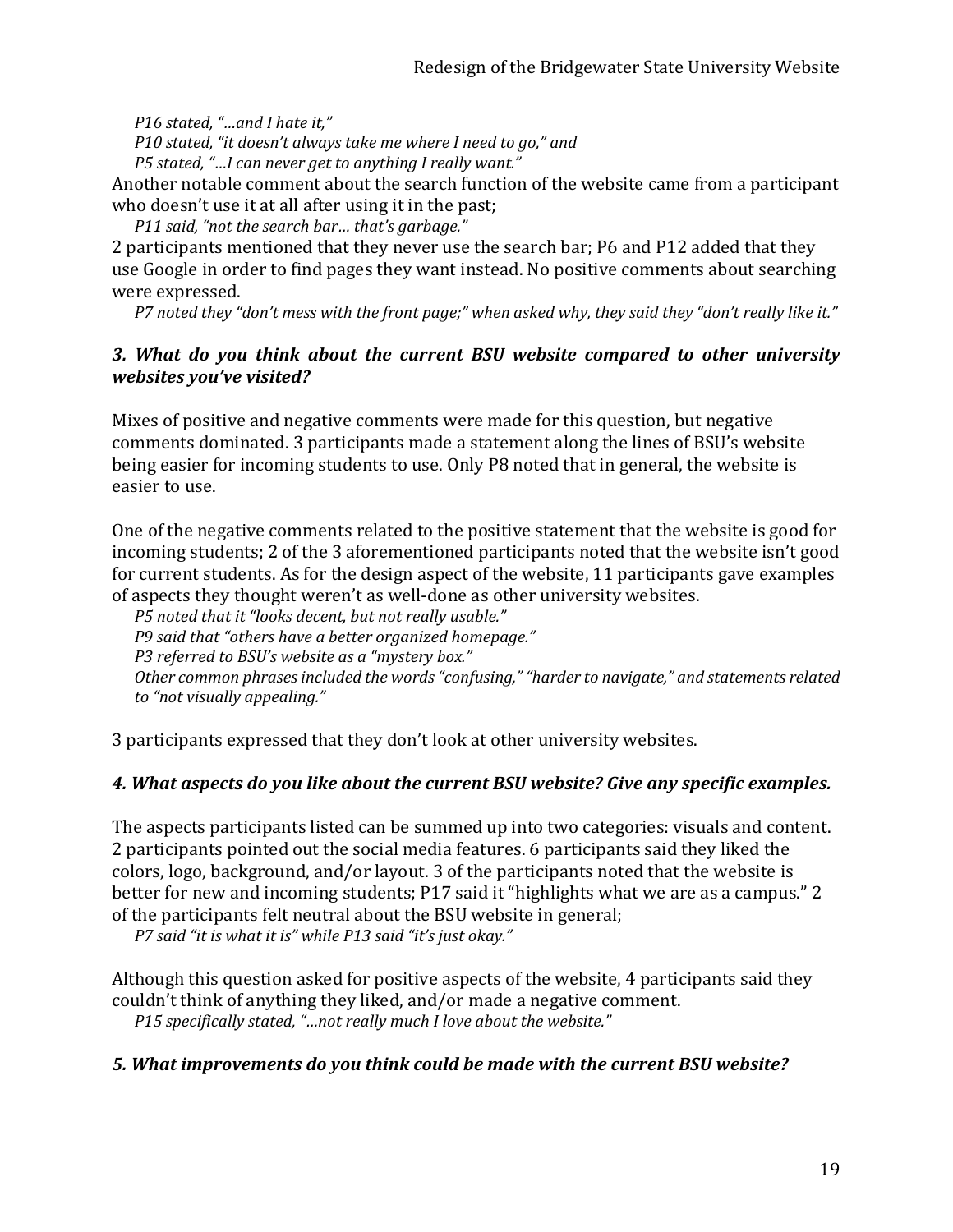*P16 stated, "…and I hate it,"*

*P10 stated, "it doesn't always take me where I need to go," and* 

*P5 stated, "…I can never get to anything I really want."*

Another notable comment about the search function of the website came from a participant who doesn't use it at all after using it in the past;

*P11 said, "not the search bar… that's garbage."*

2 participants mentioned that they never use the search bar; P6 and P12 added that they use Google in order to find pages they want instead. No positive comments about searching were expressed.

*P7 noted they "don't mess with the front page;" when asked why, they said they "don't really like it."*

#### *3. What do you think about the current BSU website compared to other university websites you've visited?*

Mixes of positive and negative comments were made for this question, but negative comments dominated. 3 participants made a statement along the lines of BSU's website being easier for incoming students to use. Only P8 noted that in general, the website is easier to use.

One of the negative comments related to the positive statement that the website is good for incoming students; 2 of the 3 aforementioned participants noted that the website isn't good for current students. As for the design aspect of the website, 11 participants gave examples of aspects they thought weren't as well-done as other university websites.

*P5 noted that it "looks decent, but not really usable."*

*P9 said that "others have a better organized homepage."*

*P3 referred to BSU's website as a "mystery box."*

*Other common phrases included the words "confusing," "harder to navigate," and statements related to "not visually appealing."*

3 participants expressed that they don't look at other university websites.

#### *4. What aspects do you like about the current BSU website? Give any specific examples.*

The aspects participants listed can be summed up into two categories: visuals and content. 2 participants pointed out the social media features. 6 participants said they liked the colors, logo, background, and/or layout. 3 of the participants noted that the website is better for new and incoming students; P17 said it "highlights what we are as a campus." 2 of the participants felt neutral about the BSU website in general;

*P7 said "it is what it is" while P13 said "it's just okay."*

Although this question asked for positive aspects of the website, 4 participants said they couldn't think of anything they liked, and/or made a negative comment. *P15 specifically stated, "…not really much I love about the website."*

#### *5. What improvements do you think could be made with the current BSU website?*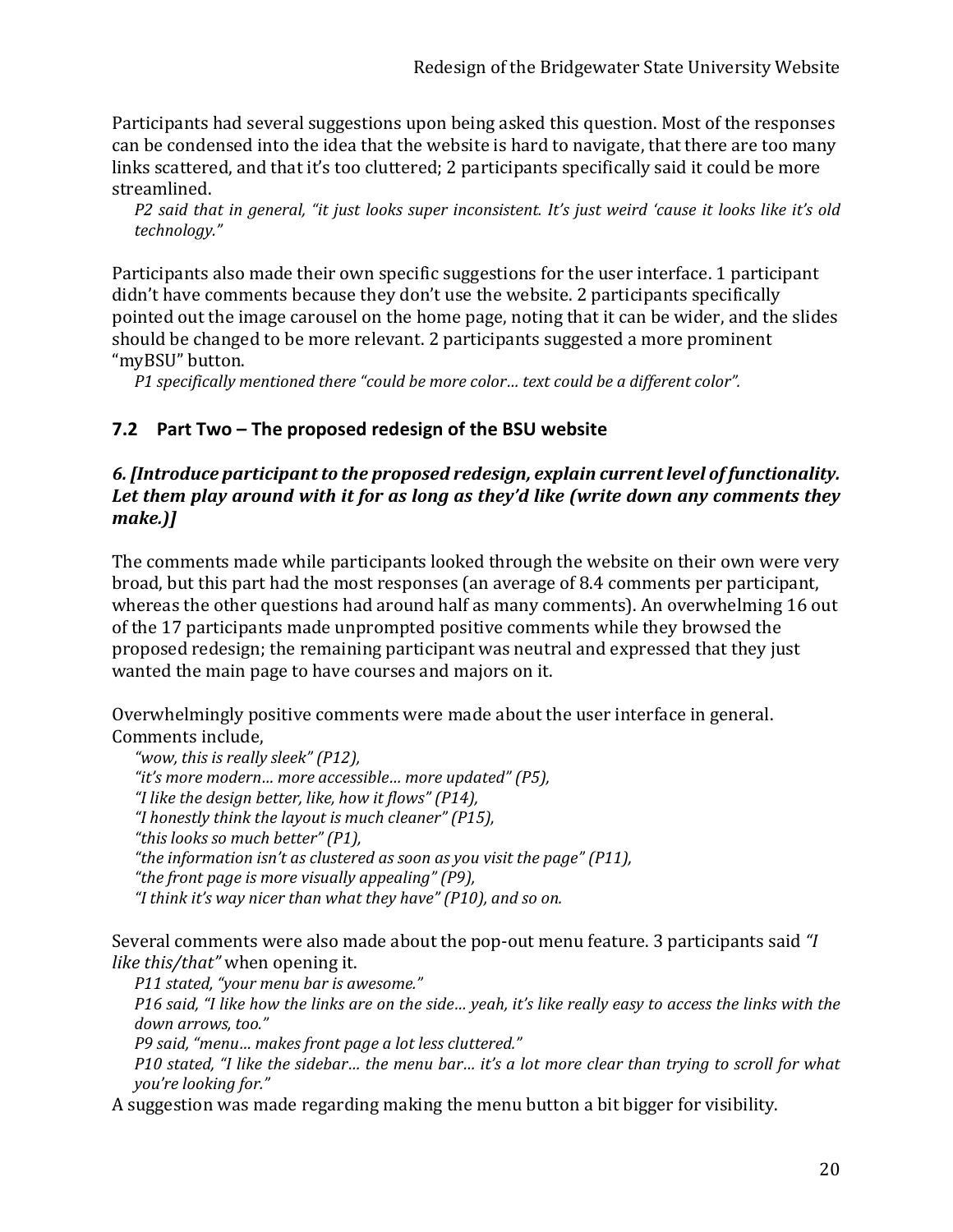Participants had several suggestions upon being asked this question. Most of the responses can be condensed into the idea that the website is hard to navigate, that there are too many links scattered, and that it's too cluttered; 2 participants specifically said it could be more streamlined.

*P2 said that in general, "it just looks super inconsistent. It's just weird 'cause it looks like it's old technology."*

Participants also made their own specific suggestions for the user interface. 1 participant didn't have comments because they don't use the website. 2 participants specifically pointed out the image carousel on the home page, noting that it can be wider, and the slides should be changed to be more relevant. 2 participants suggested a more prominent "myBSU" button.

*P1 specifically mentioned there "could be more color… text could be a different color".*

### **7.2 Part Two – The proposed redesign of the BSU website**

#### *6. [Introduce participant to the proposed redesign, explain current level of functionality. Let them play around with it for as long as they'd like (write down any comments they make.)]*

The comments made while participants looked through the website on their own were very broad, but this part had the most responses (an average of 8.4 comments per participant, whereas the other questions had around half as many comments). An overwhelming 16 out of the 17 participants made unprompted positive comments while they browsed the proposed redesign; the remaining participant was neutral and expressed that they just wanted the main page to have courses and majors on it.

Overwhelmingly positive comments were made about the user interface in general. Comments include,

*"wow, this is really sleek" (P12), "it's more modern… more accessible… more updated" (P5), "I like the design better, like, how it flows" (P14), "I honestly think the layout is much cleaner" (P15), "this looks so much better" (P1), "the information isn't as clustered as soon as you visit the page" (P11), "the front page is more visually appealing" (P9), "I think it's way nicer than what they have" (P10), and so on.* 

Several comments were also made about the pop-out menu feature. 3 participants said *"I like this/that"* when opening it.

*P11 stated, "your menu bar is awesome."*

*P16 said, "I like how the links are on the side… yeah, it's like really easy to access the links with the down arrows, too."*

*P9 said, "menu… makes front page a lot less cluttered."*

*P10 stated, "I like the sidebar… the menu bar… it's a lot more clear than trying to scroll for what you're looking for."*

A suggestion was made regarding making the menu button a bit bigger for visibility.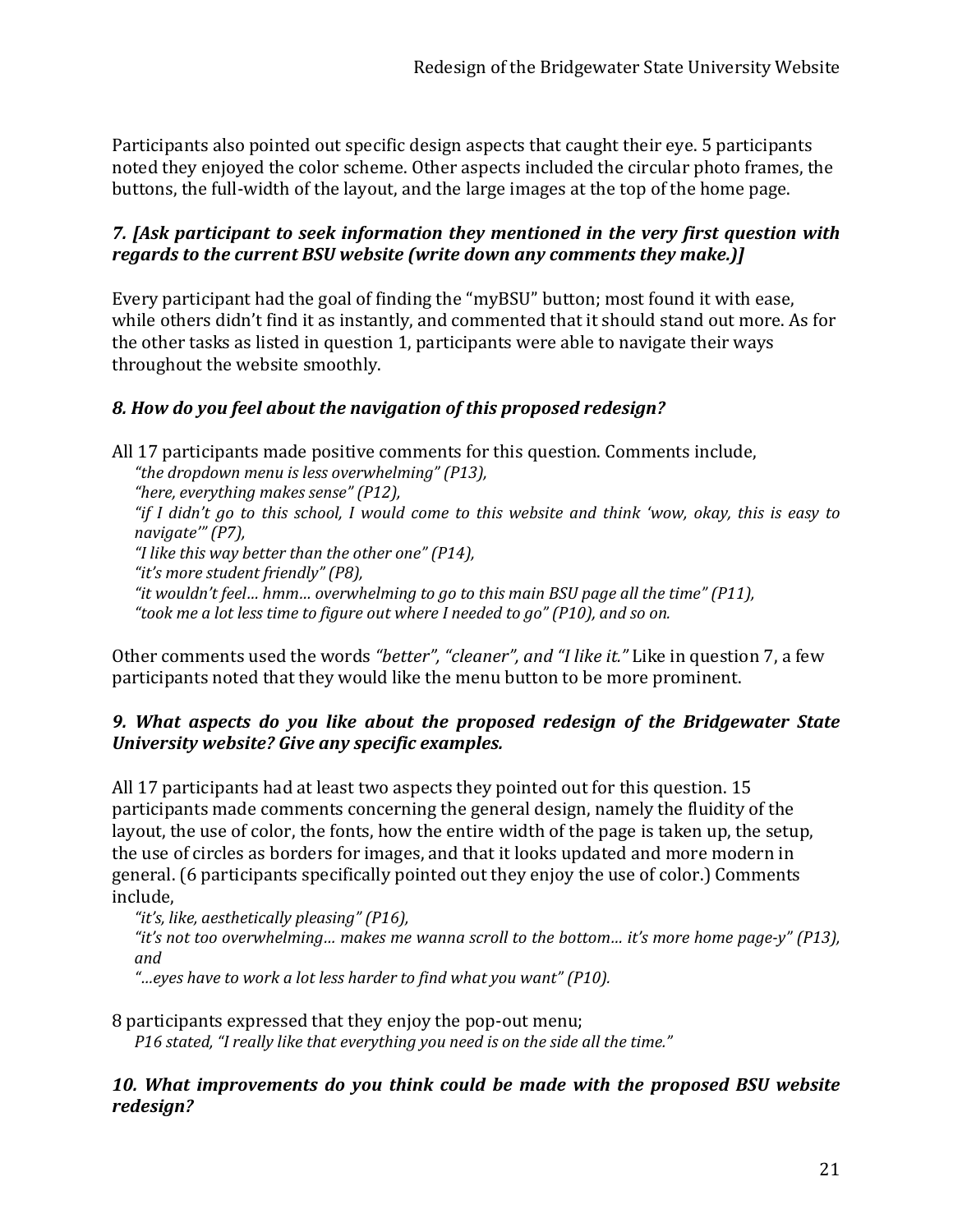Participants also pointed out specific design aspects that caught their eye. 5 participants noted they enjoyed the color scheme. Other aspects included the circular photo frames, the buttons, the full-width of the layout, and the large images at the top of the home page.

#### *7. [Ask participant to seek information they mentioned in the very first question with regards to the current BSU website (write down any comments they make.)]*

Every participant had the goal of finding the "myBSU" button; most found it with ease, while others didn't find it as instantly, and commented that it should stand out more. As for the other tasks as listed in question 1, participants were able to navigate their ways throughout the website smoothly.

### *8. How do you feel about the navigation of this proposed redesign?*

All 17 participants made positive comments for this question. Comments include, *"the dropdown menu is less overwhelming" (P13), "here, everything makes sense" (P12), "if I didn't go to this school, I would come to this website and think 'wow, okay, this is easy to navigate'" (P7), "I like this way better than the other one" (P14), "it's more student friendly" (P8), "it wouldn't feel… hmm… overwhelming to go to this main BSU page all the time" (P11), "took me a lot less time to figure out where I needed to go" (P10), and so on.* 

Other comments used the words *"better", "cleaner", and "I like it."* Like in question 7, a few participants noted that they would like the menu button to be more prominent.

#### *9. What aspects do you like about the proposed redesign of the Bridgewater State University website? Give any specific examples.*

All 17 participants had at least two aspects they pointed out for this question. 15 participants made comments concerning the general design, namely the fluidity of the layout, the use of color, the fonts, how the entire width of the page is taken up, the setup, the use of circles as borders for images, and that it looks updated and more modern in general. (6 participants specifically pointed out they enjoy the use of color.) Comments include,

*"it's, like, aesthetically pleasing" (P16),* 

*"it's not too overwhelming… makes me wanna scroll to the bottom… it's more home page-y" (P13), and* 

*"…eyes have to work a lot less harder to find what you want" (P10).* 

8 participants expressed that they enjoy the pop-out menu;

*P16 stated, "I really like that everything you need is on the side all the time."* 

#### *10. What improvements do you think could be made with the proposed BSU website redesign?*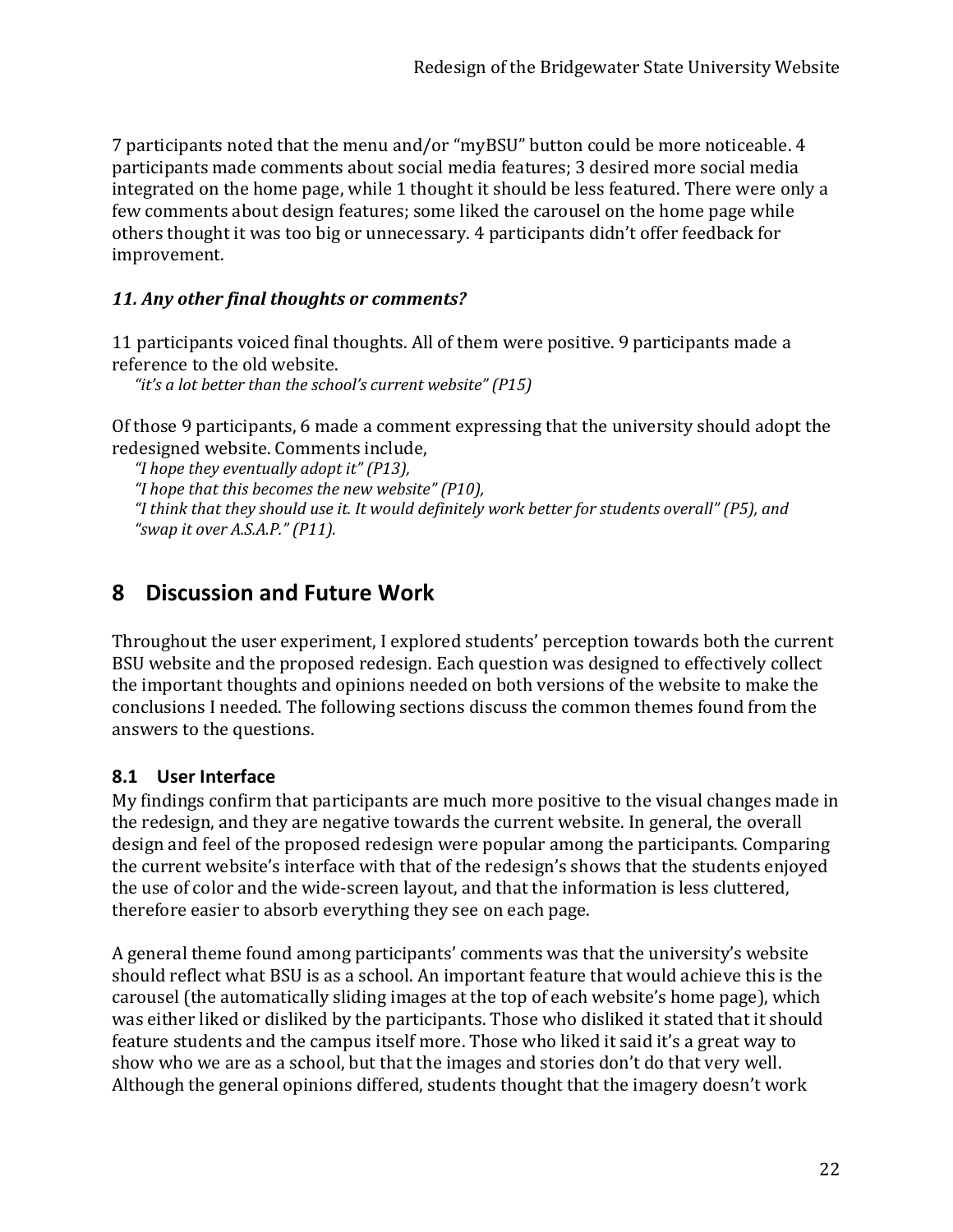7 participants noted that the menu and/or "myBSU" button could be more noticeable. 4 participants made comments about social media features; 3 desired more social media integrated on the home page, while 1 thought it should be less featured. There were only a few comments about design features; some liked the carousel on the home page while others thought it was too big or unnecessary. 4 participants didn't offer feedback for improvement.

### *11. Any other final thoughts or comments?*

11 participants voiced final thoughts. All of them were positive. 9 participants made a reference to the old website.

*"it's a lot better than the school's current website" (P15)*

Of those 9 participants, 6 made a comment expressing that the university should adopt the redesigned website. Comments include,

*"I hope they eventually adopt it" (P13), "I hope that this becomes the new website" (P10), "I think that they should use it. It would definitely work better for students overall" (P5), and "swap it over A.S.A.P." (P11).*

## **8 Discussion and Future Work**

Throughout the user experiment, I explored students' perception towards both the current BSU website and the proposed redesign. Each question was designed to effectively collect the important thoughts and opinions needed on both versions of the website to make the conclusions I needed. The following sections discuss the common themes found from the answers to the questions.

### **8.1 User Interface**

My findings confirm that participants are much more positive to the visual changes made in the redesign, and they are negative towards the current website. In general, the overall design and feel of the proposed redesign were popular among the participants. Comparing the current website's interface with that of the redesign's shows that the students enjoyed the use of color and the wide-screen layout, and that the information is less cluttered, therefore easier to absorb everything they see on each page.

A general theme found among participants' comments was that the university's website should reflect what BSU is as a school. An important feature that would achieve this is the carousel (the automatically sliding images at the top of each website's home page), which was either liked or disliked by the participants. Those who disliked it stated that it should feature students and the campus itself more. Those who liked it said it's a great way to show who we are as a school, but that the images and stories don't do that very well. Although the general opinions differed, students thought that the imagery doesn't work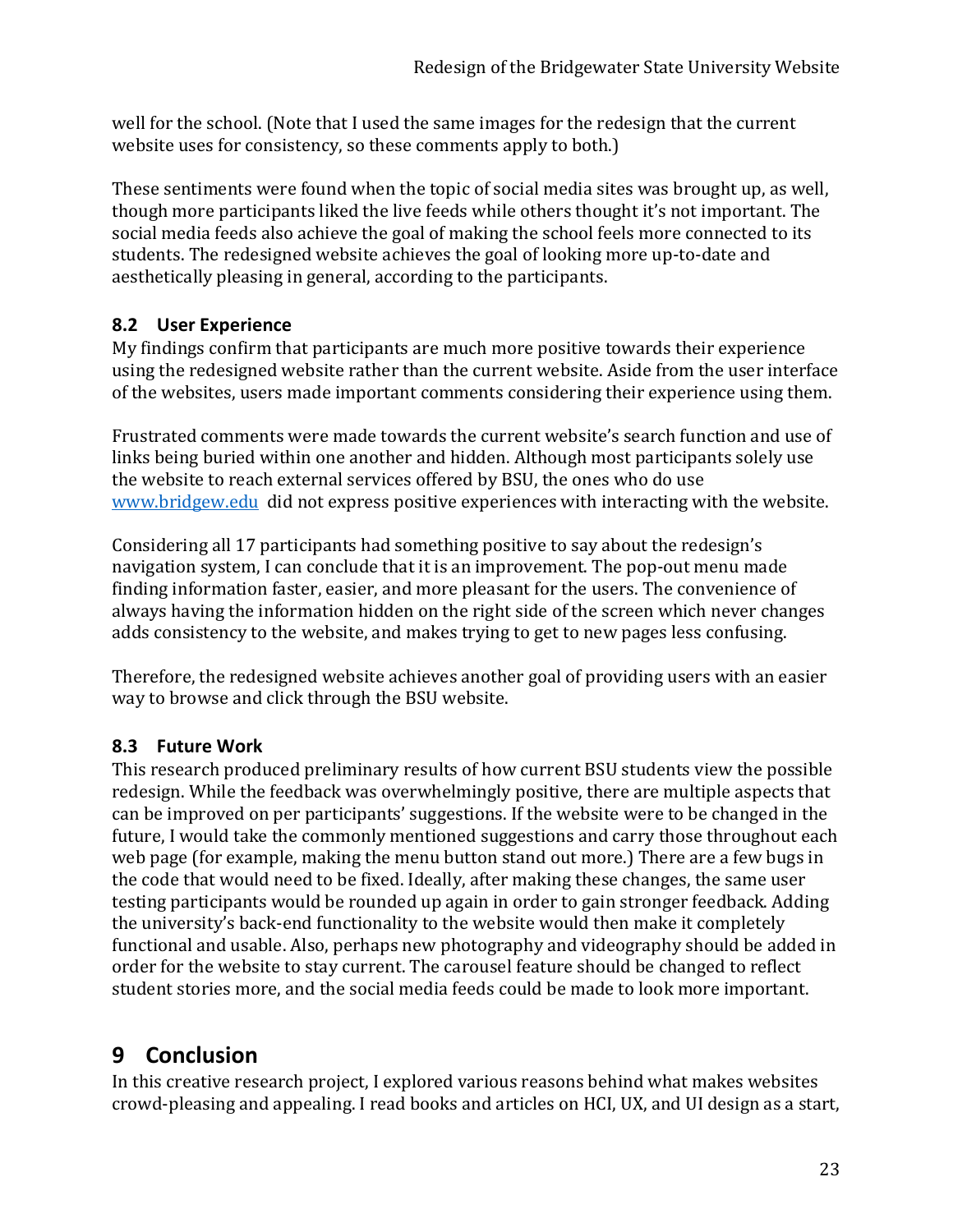well for the school. (Note that I used the same images for the redesign that the current website uses for consistency, so these comments apply to both.)

These sentiments were found when the topic of social media sites was brought up, as well, though more participants liked the live feeds while others thought it's not important. The social media feeds also achieve the goal of making the school feels more connected to its students. The redesigned website achieves the goal of looking more up-to-date and aesthetically pleasing in general, according to the participants.

## **8.2 User Experience**

My findings confirm that participants are much more positive towards their experience using the redesigned website rather than the current website. Aside from the user interface of the websites, users made important comments considering their experience using them.

Frustrated comments were made towards the current website's search function and use of links being buried within one another and hidden. Although most participants solely use the website to reach external services offered by BSU, the ones who do use [www.bridgew.edu](http://www.bridgew.edu/) did not express positive experiences with interacting with the website.

Considering all 17 participants had something positive to say about the redesign's navigation system, I can conclude that it is an improvement. The pop-out menu made finding information faster, easier, and more pleasant for the users. The convenience of always having the information hidden on the right side of the screen which never changes adds consistency to the website, and makes trying to get to new pages less confusing.

Therefore, the redesigned website achieves another goal of providing users with an easier way to browse and click through the BSU website.

## **8.3 Future Work**

This research produced preliminary results of how current BSU students view the possible redesign. While the feedback was overwhelmingly positive, there are multiple aspects that can be improved on per participants' suggestions. If the website were to be changed in the future, I would take the commonly mentioned suggestions and carry those throughout each web page (for example, making the menu button stand out more.) There are a few bugs in the code that would need to be fixed. Ideally, after making these changes, the same user testing participants would be rounded up again in order to gain stronger feedback. Adding the university's back-end functionality to the website would then make it completely functional and usable. Also, perhaps new photography and videography should be added in order for the website to stay current. The carousel feature should be changed to reflect student stories more, and the social media feeds could be made to look more important.

## **9 Conclusion**

In this creative research project, I explored various reasons behind what makes websites crowd-pleasing and appealing. I read books and articles on HCI, UX, and UI design as a start,